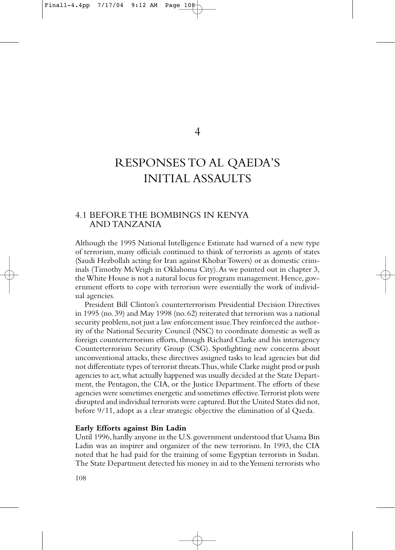4

# RESPONSES TO AL QAEDA'S INITIAL ASSAULTS

## 4.1 BEFORE THE BOMBINGS IN KENYA AND TANZANIA

Although the 1995 National Intelligence Estimate had warned of a new type of terrorism, many officials continued to think of terrorists as agents of states (Saudi Hezbollah acting for Iran against Khobar Towers) or as domestic criminals (Timothy McVeigh in Oklahoma City). As we pointed out in chapter 3, the White House is not a natural locus for program management. Hence, government efforts to cope with terrorism were essentially the work of individual agencies.

President Bill Clinton's counterterrorism Presidential Decision Directives in 1995 (no.39) and May 1998 (no.62) reiterated that terrorism was a national security problem, not just a law enforcement issue. They reinforced the authority of the National Security Council (NSC) to coordinate domestic as well as foreign counterterrorism efforts, through Richard Clarke and his interagency Counterterrorism Security Group (CSG). Spotlighting new concerns about unconventional attacks, these directives assigned tasks to lead agencies but did not differentiate types of terrorist threats.Thus,while Clarke might prod or push agencies to act,what actually happened was usually decided at the State Department, the Pentagon, the CIA, or the Justice Department.The efforts of these agencies were sometimes energetic and sometimes effective.Terrorist plots were disrupted and individual terrorists were captured.But the United States did not, before 9/11, adopt as a clear strategic objective the elimination of al Qaeda.

## **Early Efforts against Bin Ladin**

Until 1996, hardly anyone in the U.S. government understood that Usama Bin Ladin was an inspirer and organizer of the new terrorism. In 1993, the CIA noted that he had paid for the training of some Egyptian terrorists in Sudan. The State Department detected his money in aid to the Yemeni terrorists who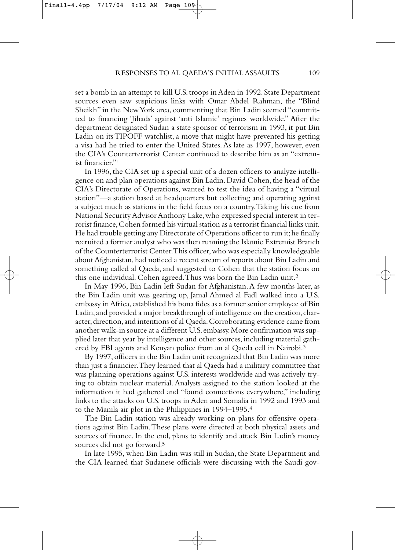set a bomb in an attempt to kill U.S. troops in Aden in 1992. State Department sources even saw suspicious links with Omar Abdel Rahman, the "Blind Sheikh" in the New York area, commenting that Bin Ladin seemed "committed to financing 'Jihads' against 'anti Islamic' regimes worldwide." After the department designated Sudan a state sponsor of terrorism in 1993, it put Bin Ladin on its TIPOFF watchlist, a move that might have prevented his getting a visa had he tried to enter the United States.As late as 1997, however, even the CIA's Counterterrorist Center continued to describe him as an "extremist financier."1

In 1996, the CIA set up a special unit of a dozen officers to analyze intelligence on and plan operations against Bin Ladin. David Cohen, the head of the CIA's Directorate of Operations, wanted to test the idea of having a "virtual station"—a station based at headquarters but collecting and operating against a subject much as stations in the field focus on a country.Taking his cue from National Security Advisor Anthony Lake,who expressed special interest in terrorist finance,Cohen formed his virtual station as a terrorist financial links unit. He had trouble getting any Directorate of Operations officer to run it; he finally recruited a former analyst who was then running the Islamic Extremist Branch of the Counterterrorist Center.This officer,who was especially knowledgeable about Afghanistan, had noticed a recent stream of reports about Bin Ladin and something called al Qaeda, and suggested to Cohen that the station focus on this one individual. Cohen agreed.Thus was born the Bin Ladin unit.2

In May 1996, Bin Ladin left Sudan for Afghanistan.A few months later, as the Bin Ladin unit was gearing up, Jamal Ahmed al Fadl walked into a U.S. embassy in Africa, established his bona fides as a former senior employee of Bin Ladin, and provided a major breakthrough of intelligence on the creation, character, direction, and intentions of al Qaeda. Corroborating evidence came from another walk-in source at a different U.S.embassy.More confirmation was supplied later that year by intelligence and other sources, including material gathered by FBI agents and Kenyan police from an al Qaeda cell in Nairobi.3

By 1997,officers in the Bin Ladin unit recognized that Bin Ladin was more than just a financier.They learned that al Qaeda had a military committee that was planning operations against U.S. interests worldwide and was actively trying to obtain nuclear material. Analysts assigned to the station looked at the information it had gathered and "found connections everywhere," including links to the attacks on U.S. troops in Aden and Somalia in 1992 and 1993 and to the Manila air plot in the Philippines in 1994–1995.4

The Bin Ladin station was already working on plans for offensive operations against Bin Ladin.These plans were directed at both physical assets and sources of finance. In the end, plans to identify and attack Bin Ladin's money sources did not go forward.5

In late 1995, when Bin Ladin was still in Sudan, the State Department and the CIA learned that Sudanese officials were discussing with the Saudi gov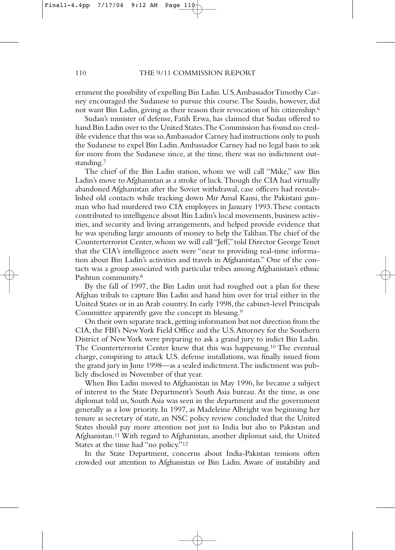ernment the possibility of expelling Bin Ladin.U.S.Ambassador Timothy Carney encouraged the Sudanese to pursue this course.The Saudis, however, did not want Bin Ladin, giving as their reason their revocation of his citizenship.6

Sudan's minister of defense, Fatih Erwa, has claimed that Sudan offered to hand Bin Ladin over to the United States.The Commission has found no credible evidence that this was so.Ambassador Carney had instructions only to push the Sudanese to expel Bin Ladin.Ambassador Carney had no legal basis to ask for more from the Sudanese since, at the time, there was no indictment outstanding.7

The chief of the Bin Ladin station, whom we will call "Mike," saw Bin Ladin's move to Afghanistan as a stroke of luck.Though the CIA had virtually abandoned Afghanistan after the Soviet withdrawal, case officers had reestablished old contacts while tracking down Mir Amal Kansi, the Pakistani gunman who had murdered two CIA employees in January 1993.These contacts contributed to intelligence about Bin Ladin's local movements, business activities, and security and living arrangements, and helped provide evidence that he was spending large amounts of money to help the Taliban.The chief of the Counterterrorist Center, whom we will call "Jeff," told Director George Tenet that the CIA's intelligence assets were "near to providing real-time information about Bin Ladin's activities and travels in Afghanistan." One of the contacts was a group associated with particular tribes among Afghanistan's ethnic Pashtun community.8

By the fall of 1997, the Bin Ladin unit had roughed out a plan for these Afghan tribals to capture Bin Ladin and hand him over for trial either in the United States or in an Arab country. In early 1998, the cabinet-level Principals Committee apparently gave the concept its blessing.9

On their own separate track,getting information but not direction from the CIA, the FBI's New York Field Office and the U.S.Attorney for the Southern District of New York were preparing to ask a grand jury to indict Bin Ladin. The Counterterrorist Center knew that this was happening.10 The eventual charge, conspiring to attack U.S. defense installations, was finally issued from the grand jury in June 1998—as a sealed indictment.The indictment was publicly disclosed in November of that year.

When Bin Ladin moved to Afghanistan in May 1996, he became a subject of interest to the State Department's South Asia bureau. At the time, as one diplomat told us, South Asia was seen in the department and the government generally as a low priority. In 1997, as Madeleine Albright was beginning her tenure as secretary of state, an NSC policy review concluded that the United States should pay more attention not just to India but also to Pakistan and Afghanistan.11 With regard to Afghanistan, another diplomat said, the United States at the time had "no policy."12

In the State Department, concerns about India-Pakistan tensions often crowded out attention to Afghanistan or Bin Ladin. Aware of instability and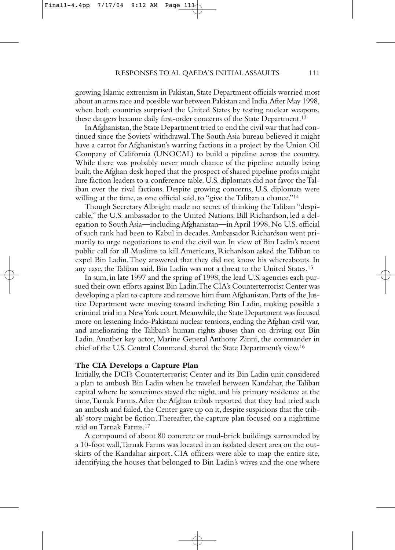growing Islamic extremism in Pakistan, State Department officials worried most about an arms race and possible war between Pakistan and India.After May 1998, when both countries surprised the United States by testing nuclear weapons, these dangers became daily first-order concerns of the State Department.<sup>13</sup>

In Afghanistan, the State Department tried to end the civil war that had continued since the Soviets' withdrawal.The South Asia bureau believed it might have a carrot for Afghanistan's warring factions in a project by the Union Oil Company of California (UNOCAL) to build a pipeline across the country. While there was probably never much chance of the pipeline actually being built, the Afghan desk hoped that the prospect of shared pipeline profits might lure faction leaders to a conference table. U.S. diplomats did not favor the Taliban over the rival factions. Despite growing concerns, U.S. diplomats were willing at the time, as one official said, to "give the Taliban a chance."<sup>14</sup>

Though Secretary Albright made no secret of thinking the Taliban "despicable," the U.S. ambassador to the United Nations, Bill Richardson, led a delegation to South Asia—including Afghanistan—in April 1998.No U.S.official of such rank had been to Kabul in decades.Ambassador Richardson went primarily to urge negotiations to end the civil war. In view of Bin Ladin's recent public call for all Muslims to kill Americans, Richardson asked the Taliban to expel Bin Ladin.They answered that they did not know his whereabouts. In any case, the Taliban said, Bin Ladin was not a threat to the United States.15

In sum, in late 1997 and the spring of 1998, the lead U.S. agencies each pursued their own efforts against Bin Ladin.The CIA's Counterterrorist Center was developing a plan to capture and remove him from Afghanistan. Parts of the Justice Department were moving toward indicting Bin Ladin, making possible a criminal trial in a New York court.Meanwhile,the State Department was focused more on lessening Indo-Pakistani nuclear tensions, ending the Afghan civil war, and ameliorating the Taliban's human rights abuses than on driving out Bin Ladin. Another key actor, Marine General Anthony Zinni, the commander in chief of the U.S. Central Command, shared the State Department's view.16

#### **The CIA Develops a Capture Plan**

Initially, the DCI's Counterterrorist Center and its Bin Ladin unit considered a plan to ambush Bin Ladin when he traveled between Kandahar, the Taliban capital where he sometimes stayed the night, and his primary residence at the time,Tarnak Farms.After the Afghan tribals reported that they had tried such an ambush and failed, the Center gave up on it, despite suspicions that the tribals' story might be fiction.Thereafter, the capture plan focused on a nighttime raid on Tarnak Farms.17

A compound of about 80 concrete or mud-brick buildings surrounded by a 10-foot wall,Tarnak Farms was located in an isolated desert area on the outskirts of the Kandahar airport. CIA officers were able to map the entire site, identifying the houses that belonged to Bin Ladin's wives and the one where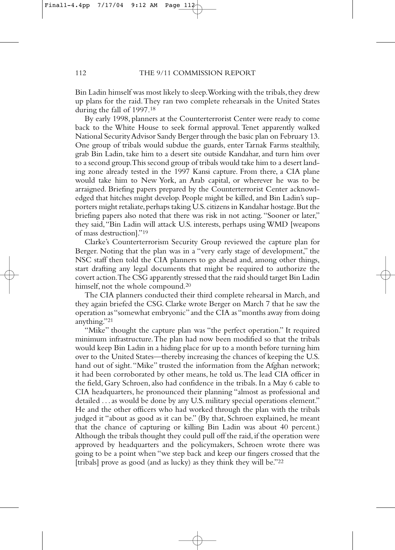Bin Ladin himself was most likely to sleep. Working with the tribals, they drew up plans for the raid.They ran two complete rehearsals in the United States during the fall of 1997.18

By early 1998, planners at the Counterterrorist Center were ready to come back to the White House to seek formal approval. Tenet apparently walked National Security Advisor Sandy Berger through the basic plan on February 13. One group of tribals would subdue the guards, enter Tarnak Farms stealthily, grab Bin Ladin, take him to a desert site outside Kandahar, and turn him over to a second group.This second group of tribals would take him to a desert landing zone already tested in the 1997 Kansi capture. From there, a CIA plane would take him to New York, an Arab capital, or wherever he was to be arraigned. Briefing papers prepared by the Counterterrorist Center acknowledged that hitches might develop. People might be killed, and Bin Ladin's supporters might retaliate, perhaps taking U.S. citizens in Kandahar hostage. But the briefing papers also noted that there was risk in not acting."Sooner or later," they said,"Bin Ladin will attack U.S. interests, perhaps using WMD [weapons of mass destruction]."19

Clarke's Counterterrorism Security Group reviewed the capture plan for Berger. Noting that the plan was in a "very early stage of development," the NSC staff then told the CIA planners to go ahead and, among other things, start drafting any legal documents that might be required to authorize the covert action.The CSG apparently stressed that the raid should target Bin Ladin himself, not the whole compound.<sup>20</sup>

The CIA planners conducted their third complete rehearsal in March, and they again briefed the CSG. Clarke wrote Berger on March 7 that he saw the operation as "somewhat embryonic"and the CIA as "months away from doing anything."21

"Mike" thought the capture plan was "the perfect operation." It required minimum infrastructure.The plan had now been modified so that the tribals would keep Bin Ladin in a hiding place for up to a month before turning him over to the United States—thereby increasing the chances of keeping the U.S. hand out of sight."Mike" trusted the information from the Afghan network; it had been corroborated by other means, he told us.The lead CIA officer in the field, Gary Schroen, also had confidence in the tribals. In a May 6 cable to CIA headquarters, he pronounced their planning "almost as professional and detailed ... as would be done by any U.S. military special operations element." He and the other officers who had worked through the plan with the tribals judged it "about as good as it can be." (By that, Schroen explained, he meant that the chance of capturing or killing Bin Ladin was about 40 percent.) Although the tribals thought they could pull off the raid, if the operation were approved by headquarters and the policymakers, Schroen wrote there was going to be a point when "we step back and keep our fingers crossed that the [tribals] prove as good (and as lucky) as they think they will be."22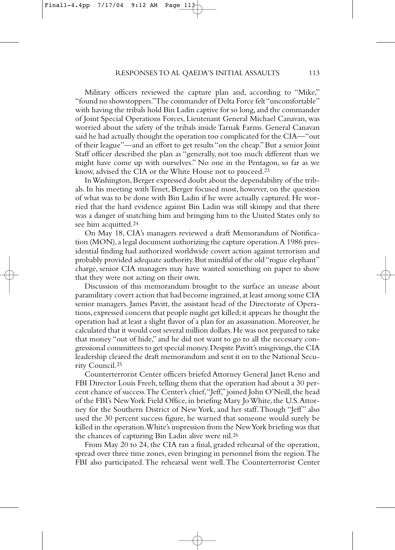Military officers reviewed the capture plan and, according to "Mike," "found no showstoppers."The commander of Delta Force felt "uncomfortable" with having the tribals hold Bin Ladin captive for so long, and the commander of Joint Special Operations Forces, Lieutenant General Michael Canavan, was worried about the safety of the tribals inside Tarnak Farms. General Canavan said he had actually thought the operation too complicated for the CIA—"out of their league"—and an effort to get results "on the cheap." But a senior Joint Staff officer described the plan as "generally, not too much different than we might have come up with ourselves." No one in the Pentagon, so far as we know, advised the CIA or the White House not to proceed.23

In Washington, Berger expressed doubt about the dependability of the tribals. In his meeting with Tenet, Berger focused most, however, on the question of what was to be done with Bin Ladin if he were actually captured. He worried that the hard evidence against Bin Ladin was still skimpy and that there was a danger of snatching him and bringing him to the United States only to see him acquitted.24

On May 18, CIA's managers reviewed a draft Memorandum of Notification (MON), a legal document authorizing the capture operation. A 1986 presidential finding had authorized worldwide covert action against terrorism and probably provided adequate authority.But mindful of the old "rogue elephant" charge, senior CIA managers may have wanted something on paper to show that they were not acting on their own.

Discussion of this memorandum brought to the surface an unease about paramilitary covert action that had become ingrained,at least among some CIA senior managers. James Pavitt, the assistant head of the Directorate of Operations,expressed concern that people might get killed;it appears he thought the operation had at least a slight flavor of a plan for an assassination. Moreover, he calculated that it would cost several million dollars.He was not prepared to take that money "out of hide," and he did not want to go to all the necessary congressional committees to get special money. Despite Pavitt's misgivings, the CIA leadership cleared the draft memorandum and sent it on to the National Security Council.25

Counterterrorist Center officers briefed Attorney General Janet Reno and FBI Director Louis Freeh, telling them that the operation had about a 30 percent chance of success. The Center's chief, "Jeff," joined John O'Neill, the head of the FBI's New York Field Office, in briefing Mary Jo White, the U.S.Attorney for the Southern District of New York, and her staff.Though "Jeff" also used the 30 percent success figure, he warned that someone would surely be killed in the operation.White's impression from the New York briefing was that the chances of capturing Bin Ladin alive were nil.26

From May 20 to 24, the CIA ran a final, graded rehearsal of the operation, spread over three time zones, even bringing in personnel from the region.The FBI also participated.The rehearsal went well.The Counterterrorist Center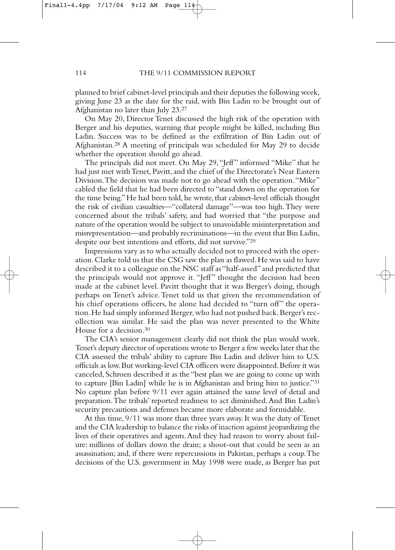planned to brief cabinet-level principals and their deputies the following week, giving June 23 as the date for the raid, with Bin Ladin to be brought out of Afghanistan no later than July 23.27

On May 20, Director Tenet discussed the high risk of the operation with Berger and his deputies, warning that people might be killed, including Bin Ladin. Success was to be defined as the exfiltration of Bin Ladin out of Afghanistan.28 A meeting of principals was scheduled for May 29 to decide whether the operation should go ahead.

The principals did not meet. On May 29,"Jeff" informed "Mike" that he had just met with Tenet, Pavitt, and the chief of the Directorate's Near Eastern Division.The decision was made not to go ahead with the operation."Mike" cabled the field that he had been directed to "stand down on the operation for the time being." He had been told, he wrote, that cabinet-level officials thought the risk of civilian casualties—"collateral damage"—was too high.They were concerned about the tribals' safety, and had worried that "the purpose and nature of the operation would be subject to unavoidable misinterpretation and misrepresentation—and probably recriminations—in the event that Bin Ladin, despite our best intentions and efforts, did not survive."29

Impressions vary as to who actually decided not to proceed with the operation.Clarke told us that the CSG saw the plan as flawed.He was said to have described it to a colleague on the NSC staff as "half-assed"and predicted that the principals would not approve it. "Jeff" thought the decision had been made at the cabinet level. Pavitt thought that it was Berger's doing, though perhaps on Tenet's advice. Tenet told us that given the recommendation of his chief operations officers, he alone had decided to "turn off" the operation. He had simply informed Berger, who had not pushed back. Berger's recollection was similar. He said the plan was never presented to the White House for a decision.30

The CIA's senior management clearly did not think the plan would work. Tenet's deputy director of operations wrote to Berger a few weeks later that the CIA assessed the tribals' ability to capture Bin Ladin and deliver him to U.S. officials as low.But working-level CIA officers were disappointed.Before it was canceled, Schroen described it as the "best plan we are going to come up with to capture [Bin Ladin] while he is in Afghanistan and bring him to justice."31 No capture plan before 9/11 ever again attained the same level of detail and preparation.The tribals' reported readiness to act diminished.And Bin Ladin's security precautions and defenses became more elaborate and formidable.

At this time, 9/11 was more than three years away. It was the duty of Tenet and the CIA leadership to balance the risks of inaction against jeopardizing the lives of their operatives and agents.And they had reason to worry about failure: millions of dollars down the drain; a shoot-out that could be seen as an assassination; and, if there were repercussions in Pakistan, perhaps a coup.The decisions of the U.S. government in May 1998 were made, as Berger has put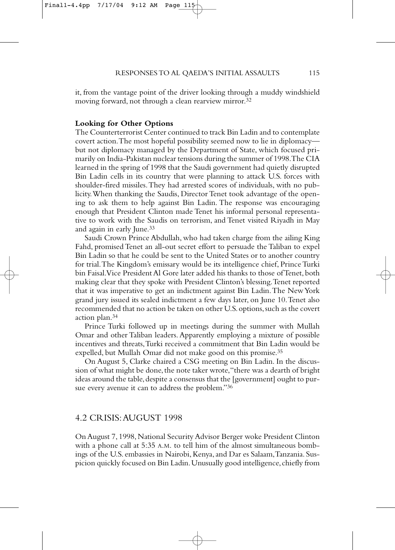it, from the vantage point of the driver looking through a muddy windshield moving forward, not through a clean rearview mirror.32

## **Looking for Other Options**

The Counterterrorist Center continued to track Bin Ladin and to contemplate covert action.The most hopeful possibility seemed now to lie in diplomacy but not diplomacy managed by the Department of State, which focused primarily on India-Pakistan nuclear tensions during the summer of 1998.The CIA learned in the spring of 1998 that the Saudi government had quietly disrupted Bin Ladin cells in its country that were planning to attack U.S. forces with shoulder-fired missiles.They had arrested scores of individuals, with no publicity.When thanking the Saudis, Director Tenet took advantage of the opening to ask them to help against Bin Ladin. The response was encouraging enough that President Clinton made Tenet his informal personal representative to work with the Saudis on terrorism, and Tenet visited Riyadh in May and again in early June.33

Saudi Crown Prince Abdullah, who had taken charge from the ailing King Fahd, promised Tenet an all-out secret effort to persuade the Taliban to expel Bin Ladin so that he could be sent to the United States or to another country for trial.The Kingdom's emissary would be its intelligence chief, Prince Turki bin Faisal.Vice President Al Gore later added his thanks to those of Tenet, both making clear that they spoke with President Clinton's blessing.Tenet reported that it was imperative to get an indictment against Bin Ladin.The New York grand jury issued its sealed indictment a few days later, on June 10.Tenet also recommended that no action be taken on other U.S. options, such as the covert action plan.34

Prince Turki followed up in meetings during the summer with Mullah Omar and other Taliban leaders. Apparently employing a mixture of possible incentives and threats,Turki received a commitment that Bin Ladin would be expelled, but Mullah Omar did not make good on this promise.35

On August 5, Clarke chaired a CSG meeting on Bin Ladin. In the discussion of what might be done, the note taker wrote, "there was a dearth of bright ideas around the table, despite a consensus that the [government] ought to pursue every avenue it can to address the problem."36

## 4.2 CRISIS:AUGUST 1998

On August 7, 1998, National Security Advisor Berger woke President Clinton with a phone call at 5:35 A.M. to tell him of the almost simultaneous bombings of the U.S. embassies in Nairobi, Kenya, and Dar es Salaam,Tanzania. Suspicion quickly focused on Bin Ladin. Unusually good intelligence, chiefly from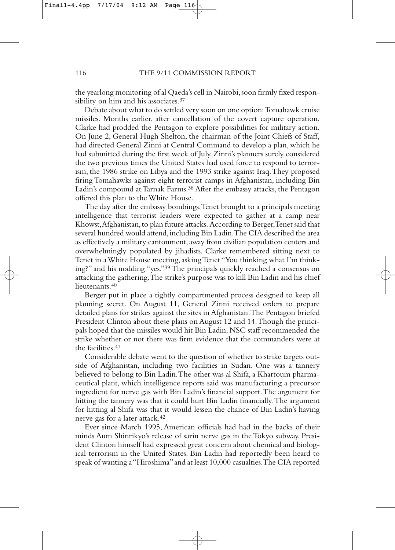the yearlong monitoring of al Qaeda's cell in Nairobi,soon firmly fixed responsibility on him and his associates.<sup>37</sup>

Debate about what to do settled very soon on one option:Tomahawk cruise missiles. Months earlier, after cancellation of the covert capture operation, Clarke had prodded the Pentagon to explore possibilities for military action. On June 2, General Hugh Shelton, the chairman of the Joint Chiefs of Staff, had directed General Zinni at Central Command to develop a plan, which he had submitted during the first week of July. Zinni's planners surely considered the two previous times the United States had used force to respond to terrorism, the 1986 strike on Libya and the 1993 strike against Iraq.They proposed firing Tomahawks against eight terrorist camps in Afghanistan, including Bin Ladin's compound at Tarnak Farms.38 After the embassy attacks, the Pentagon offered this plan to the White House.

The day after the embassy bombings, Tenet brought to a principals meeting intelligence that terrorist leaders were expected to gather at a camp near Khowst, Afghanistan, to plan future attacks. According to Berger, Tenet said that several hundred would attend,including Bin Ladin.The CIA described the area as effectively a military cantonment,away from civilian population centers and overwhelmingly populated by jihadists. Clarke remembered sitting next to Tenet in a White House meeting, asking Tenet "You thinking what I'm thinking?" and his nodding "yes."39 The principals quickly reached a consensus on attacking the gathering.The strike's purpose was to kill Bin Ladin and his chief lieutenants.40

Berger put in place a tightly compartmented process designed to keep all planning secret. On August 11, General Zinni received orders to prepare detailed plans for strikes against the sites in Afghanistan.The Pentagon briefed President Clinton about these plans on August 12 and 14.Though the principals hoped that the missiles would hit Bin Ladin, NSC staff recommended the strike whether or not there was firm evidence that the commanders were at the facilities.41

Considerable debate went to the question of whether to strike targets outside of Afghanistan, including two facilities in Sudan. One was a tannery believed to belong to Bin Ladin.The other was al Shifa, a Khartoum pharmaceutical plant, which intelligence reports said was manufacturing a precursor ingredient for nerve gas with Bin Ladin's financial support.The argument for hitting the tannery was that it could hurt Bin Ladin financially.The argument for hitting al Shifa was that it would lessen the chance of Bin Ladin's having nerve gas for a later attack.42

Ever since March 1995, American officials had had in the backs of their minds Aum Shinrikyo's release of sarin nerve gas in the Tokyo subway. President Clinton himself had expressed great concern about chemical and biological terrorism in the United States. Bin Ladin had reportedly been heard to speak of wanting a "Hiroshima"and at least 10,000 casualties.The CIA reported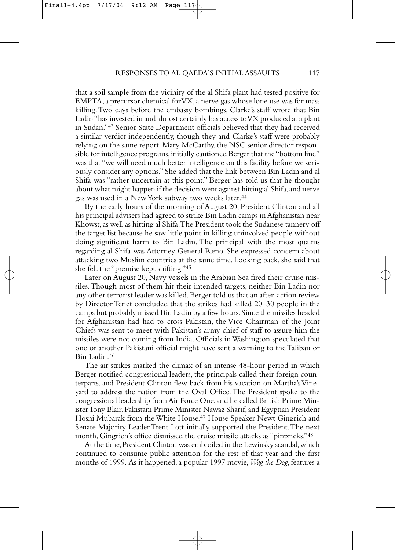that a soil sample from the vicinity of the al Shifa plant had tested positive for EMPTA, a precursor chemical for VX, a nerve gas whose lone use was for mass killing.Two days before the embassy bombings, Clarke's staff wrote that Bin Ladin "has invested in and almost certainly has access to VX produced at a plant in Sudan."43 Senior State Department officials believed that they had received a similar verdict independently, though they and Clarke's staff were probably relying on the same report. Mary McCarthy, the NSC senior director responsible for intelligence programs, initially cautioned Berger that the "bottom line" was that "we will need much better intelligence on this facility before we seriously consider any options." She added that the link between Bin Ladin and al Shifa was "rather uncertain at this point." Berger has told us that he thought about what might happen if the decision went against hitting al Shifa, and nerve gas was used in a New York subway two weeks later.44

By the early hours of the morning of August 20, President Clinton and all his principal advisers had agreed to strike Bin Ladin camps in Afghanistan near Khowst,as well as hitting al Shifa.The President took the Sudanese tannery off the target list because he saw little point in killing uninvolved people without doing significant harm to Bin Ladin. The principal with the most qualms regarding al Shifa was Attorney General Reno. She expressed concern about attacking two Muslim countries at the same time. Looking back, she said that she felt the "premise kept shifting."45

Later on August 20, Navy vessels in the Arabian Sea fired their cruise missiles.Though most of them hit their intended targets, neither Bin Ladin nor any other terrorist leader was killed.Berger told us that an after-action review by Director Tenet concluded that the strikes had killed 20–30 people in the camps but probably missed Bin Ladin by a few hours.Since the missiles headed for Afghanistan had had to cross Pakistan, the Vice Chairman of the Joint Chiefs was sent to meet with Pakistan's army chief of staff to assure him the missiles were not coming from India. Officials in Washington speculated that one or another Pakistani official might have sent a warning to the Taliban or Bin Ladin.46

The air strikes marked the climax of an intense 48-hour period in which Berger notified congressional leaders, the principals called their foreign counterparts, and President Clinton flew back from his vacation on Martha's Vineyard to address the nation from the Oval Office.The President spoke to the congressional leadership from Air Force One,and he called British Prime Minister Tony Blair, Pakistani Prime Minister Nawaz Sharif, and Egyptian President Hosni Mubarak from the White House.<sup>47</sup> House Speaker Newt Gingrich and Senate Majority Leader Trent Lott initially supported the President.The next month, Gingrich's office dismissed the cruise missile attacks as "pinpricks."48

At the time, President Clinton was embroiled in the Lewinsky scandal, which continued to consume public attention for the rest of that year and the first months of 1999. As it happened, a popular 1997 movie,*Wag the Dog*, features a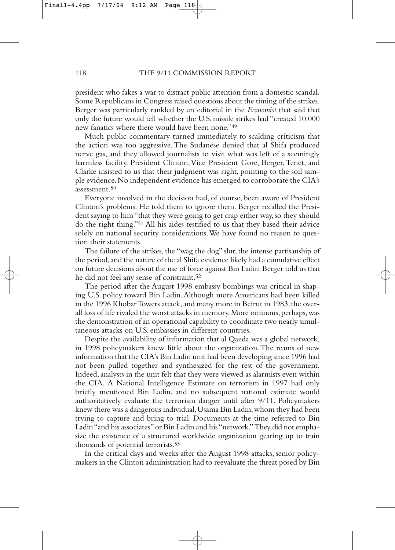president who fakes a war to distract public attention from a domestic scandal. Some Republicans in Congress raised questions about the timing of the strikes. Berger was particularly rankled by an editorial in the *Economist* that said that only the future would tell whether the U.S. missile strikes had "created 10,000 new fanatics where there would have been none."49

Much public commentary turned immediately to scalding criticism that the action was too aggressive. The Sudanese denied that al Shifa produced nerve gas, and they allowed journalists to visit what was left of a seemingly harmless facility. President Clinton,Vice President Gore, Berger, Tenet, and Clarke insisted to us that their judgment was right, pointing to the soil sample evidence.No independent evidence has emerged to corroborate the CIA's assessment.50

Everyone involved in the decision had, of course, been aware of President Clinton's problems. He told them to ignore them. Berger recalled the President saying to him "that they were going to get crap either way,so they should do the right thing."51 All his aides testified to us that they based their advice solely on national security considerations.We have found no reason to question their statements.

The failure of the strikes, the "wag the dog" slur, the intense partisanship of the period,and the nature of the al Shifa evidence likely had a cumulative effect on future decisions about the use of force against Bin Ladin.Berger told us that he did not feel any sense of constraint.52

The period after the August 1998 embassy bombings was critical in shaping U.S. policy toward Bin Ladin.Although more Americans had been killed in the 1996 Khobar Towers attack, and many more in Beirut in 1983, the overall loss of life rivaled the worst attacks in memory. More ominous, perhaps, was the demonstration of an operational capability to coordinate two nearly simultaneous attacks on U.S. embassies in different countries.

Despite the availability of information that al Qaeda was a global network, in 1998 policymakers knew little about the organization.The reams of new information that the CIA's Bin Ladin unit had been developing since 1996 had not been pulled together and synthesized for the rest of the government. Indeed, analysts in the unit felt that they were viewed as alarmists even within the CIA. A National Intelligence Estimate on terrorism in 1997 had only briefly mentioned Bin Ladin, and no subsequent national estimate would authoritatively evaluate the terrorism danger until after 9/11. Policymakers knew there was a dangerous individual, Usama Bin Ladin, whom they had been trying to capture and bring to trial. Documents at the time referred to Bin Ladin "and his associates"or Bin Ladin and his "network."They did not emphasize the existence of a structured worldwide organization gearing up to train thousands of potential terrorists.53

In the critical days and weeks after the August 1998 attacks, senior policymakers in the Clinton administration had to reevaluate the threat posed by Bin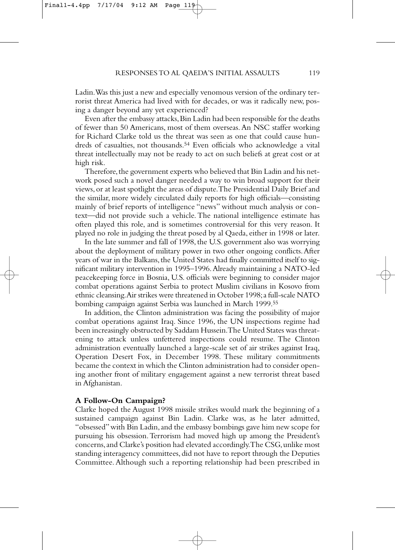Ladin.Was this just a new and especially venomous version of the ordinary terrorist threat America had lived with for decades, or was it radically new, posing a danger beyond any yet experienced?

Even after the embassy attacks, Bin Ladin had been responsible for the deaths of fewer than 50 Americans, most of them overseas.An NSC staffer working for Richard Clarke told us the threat was seen as one that could cause hundreds of casualties, not thousands.54 Even officials who acknowledge a vital threat intellectually may not be ready to act on such beliefs at great cost or at high risk.

Therefore, the government experts who believed that Bin Ladin and his network posed such a novel danger needed a way to win broad support for their views,or at least spotlight the areas of dispute.The Presidential Daily Brief and the similar, more widely circulated daily reports for high officials—consisting mainly of brief reports of intelligence "news" without much analysis or context—did not provide such a vehicle. The national intelligence estimate has often played this role, and is sometimes controversial for this very reason. It played no role in judging the threat posed by al Qaeda, either in 1998 or later.

In the late summer and fall of 1998, the U.S. government also was worrying about the deployment of military power in two other ongoing conflicts.After years of war in the Balkans, the United States had finally committed itself to significant military intervention in 1995–1996.Already maintaining a NATO-led peacekeeping force in Bosnia, U.S. officials were beginning to consider major combat operations against Serbia to protect Muslim civilians in Kosovo from ethnic cleansing.Air strikes were threatened in October 1998;a full-scale NATO bombing campaign against Serbia was launched in March 1999.55

In addition, the Clinton administration was facing the possibility of major combat operations against Iraq. Since 1996, the UN inspections regime had been increasingly obstructed by Saddam Hussein.The United States was threatening to attack unless unfettered inspections could resume. The Clinton administration eventually launched a large-scale set of air strikes against Iraq, Operation Desert Fox, in December 1998. These military commitments became the context in which the Clinton administration had to consider opening another front of military engagement against a new terrorist threat based in Afghanistan.

## **A Follow-On Campaign?**

Clarke hoped the August 1998 missile strikes would mark the beginning of a sustained campaign against Bin Ladin. Clarke was, as he later admitted, "obsessed"with Bin Ladin,and the embassy bombings gave him new scope for pursuing his obsession.Terrorism had moved high up among the President's concerns,and Clarke's position had elevated accordingly.The CSG,unlike most standing interagency committees, did not have to report through the Deputies Committee. Although such a reporting relationship had been prescribed in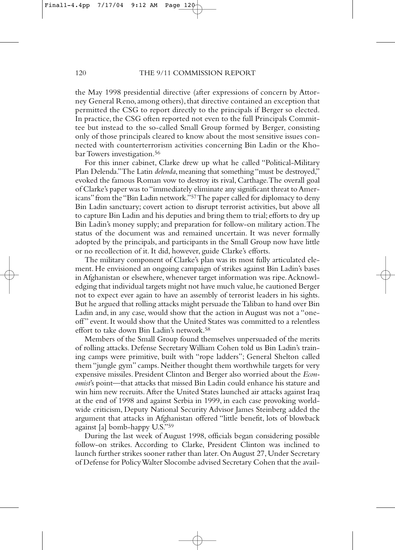the May 1998 presidential directive (after expressions of concern by Attorney General Reno,among others), that directive contained an exception that permitted the CSG to report directly to the principals if Berger so elected. In practice, the CSG often reported not even to the full Principals Committee but instead to the so-called Small Group formed by Berger, consisting only of those principals cleared to know about the most sensitive issues connected with counterterrorism activities concerning Bin Ladin or the Khobar Towers investigation.56

For this inner cabinet, Clarke drew up what he called "Political-Military Plan Delenda."The Latin *delenda*, meaning that something "must be destroyed," evoked the famous Roman vow to destroy its rival, Carthage.The overall goal of Clarke's paper was to "immediately eliminate any significant threat to Americans"from the "Bin Ladin network."57The paper called for diplomacy to deny Bin Ladin sanctuary; covert action to disrupt terrorist activities, but above all to capture Bin Ladin and his deputies and bring them to trial; efforts to dry up Bin Ladin's money supply; and preparation for follow-on military action.The status of the document was and remained uncertain. It was never formally adopted by the principals, and participants in the Small Group now have little or no recollection of it. It did, however, guide Clarke's efforts.

The military component of Clarke's plan was its most fully articulated element. He envisioned an ongoing campaign of strikes against Bin Ladin's bases in Afghanistan or elsewhere, whenever target information was ripe.Acknowledging that individual targets might not have much value, he cautioned Berger not to expect ever again to have an assembly of terrorist leaders in his sights. But he argued that rolling attacks might persuade the Taliban to hand over Bin Ladin and, in any case, would show that the action in August was not a "oneoff" event. It would show that the United States was committed to a relentless effort to take down Bin Ladin's network.58

Members of the Small Group found themselves unpersuaded of the merits of rolling attacks. Defense Secretary William Cohen told us Bin Ladin's training camps were primitive, built with "rope ladders"; General Shelton called them "jungle gym" camps. Neither thought them worthwhile targets for very expensive missiles. President Clinton and Berger also worried about the *Economist*'s point—that attacks that missed Bin Ladin could enhance his stature and win him new recruits. After the United States launched air attacks against Iraq at the end of 1998 and against Serbia in 1999, in each case provoking worldwide criticism, Deputy National Security Advisor James Steinberg added the argument that attacks in Afghanistan offered "little benefit, lots of blowback against [a] bomb-happy U.S."59

During the last week of August 1998, officials began considering possible follow-on strikes. According to Clarke, President Clinton was inclined to launch further strikes sooner rather than later. On August 27, Under Secretary of Defense for Policy Walter Slocombe advised Secretary Cohen that the avail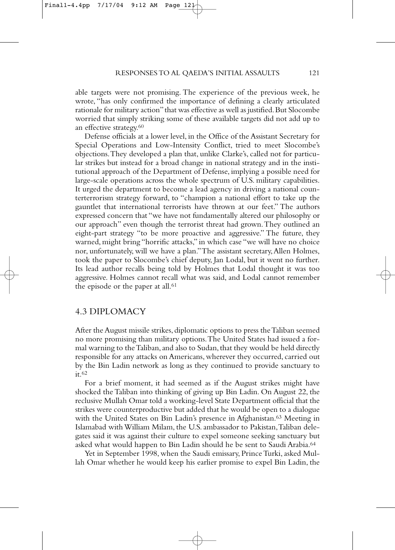able targets were not promising. The experience of the previous week, he wrote, "has only confirmed the importance of defining a clearly articulated rationale for military action" that was effective as well as justified. But Slocombe worried that simply striking some of these available targets did not add up to an effective strategy.60

Defense officials at a lower level, in the Office of the Assistant Secretary for Special Operations and Low-Intensity Conflict, tried to meet Slocombe's objections.They developed a plan that, unlike Clarke's, called not for particular strikes but instead for a broad change in national strategy and in the institutional approach of the Department of Defense, implying a possible need for large-scale operations across the whole spectrum of U.S. military capabilities. It urged the department to become a lead agency in driving a national counterterrorism strategy forward, to "champion a national effort to take up the gauntlet that international terrorists have thrown at our feet." The authors expressed concern that "we have not fundamentally altered our philosophy or our approach" even though the terrorist threat had grown.They outlined an eight-part strategy "to be more proactive and aggressive." The future, they warned, might bring "horrific attacks," in which case "we will have no choice nor, unfortunately, will we have a plan."The assistant secretary,Allen Holmes, took the paper to Slocombe's chief deputy, Jan Lodal, but it went no further. Its lead author recalls being told by Holmes that Lodal thought it was too aggressive. Holmes cannot recall what was said, and Lodal cannot remember the episode or the paper at all.<sup>61</sup>

## 4.3 DIPLOMACY

After the August missile strikes, diplomatic options to press the Taliban seemed no more promising than military options.The United States had issued a formal warning to the Taliban, and also to Sudan, that they would be held directly responsible for any attacks on Americans, wherever they occurred, carried out by the Bin Ladin network as long as they continued to provide sanctuary to  $it.62$ 

For a brief moment, it had seemed as if the August strikes might have shocked the Taliban into thinking of giving up Bin Ladin. On August 22, the reclusive Mullah Omar told a working-level State Department official that the strikes were counterproductive but added that he would be open to a dialogue with the United States on Bin Ladin's presence in Afghanistan.<sup>63</sup> Meeting in Islamabad with William Milam, the U.S. ambassador to Pakistan,Taliban delegates said it was against their culture to expel someone seeking sanctuary but asked what would happen to Bin Ladin should he be sent to Saudi Arabia.64

Yet in September 1998, when the Saudi emissary, Prince Turki, asked Mullah Omar whether he would keep his earlier promise to expel Bin Ladin, the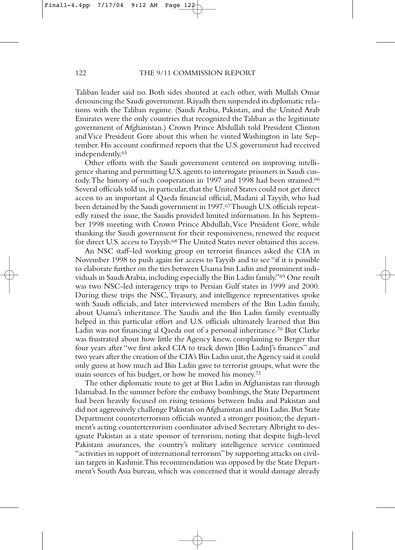Taliban leader said no. Both sides shouted at each other, with Mullah Omar denouncing the Saudi government.Riyadh then suspended its diplomatic relations with the Taliban regime. (Saudi Arabia, Pakistan, and the United Arab Emirates were the only countries that recognized the Taliban as the legitimate government of Afghanistan.) Crown Prince Abdullah told President Clinton and Vice President Gore about this when he visited Washington in late September. His account confirmed reports that the U.S. government had received independently.65

Other efforts with the Saudi government centered on improving intelligence sharing and permitting U.S.agents to interrogate prisoners in Saudi custody. The history of such cooperation in 1997 and 1998 had been strained.<sup>66</sup> Several officials told us, in particular, that the United States could not get direct access to an important al Qaeda financial official, Madani al Tayyib, who had been detained by the Saudi government in 1997.<sup>67</sup>Though U.S. officials repeatedly raised the issue, the Saudis provided limited information. In his September 1998 meeting with Crown Prince Abdullah,Vice President Gore, while thanking the Saudi government for their responsiveness, renewed the request for direct U.S. access to Tayyib.<sup>68</sup> The United States never obtained this access.

An NSC staff–led working group on terrorist finances asked the CIA in November 1998 to push again for access to Tayyib and to see "if it is possible to elaborate further on the ties between Usama bin Ladin and prominent individuals in Saudi Arabia, including especially the Bin Ladin family."<sup>69</sup> One result was two NSC-led interagency trips to Persian Gulf states in 1999 and 2000. During these trips the NSC,Treasury, and intelligence representatives spoke with Saudi officials, and later interviewed members of the Bin Ladin family, about Usama's inheritance. The Saudis and the Bin Ladin family eventually helped in this particular effort and U.S. officials ultimately learned that Bin Ladin was not financing al Qaeda out of a personal inheritance.70 But Clarke was frustrated about how little the Agency knew, complaining to Berger that four years after "we first asked CIA to track down [Bin Ladin]'s finances" and two years after the creation of the CIA's Bin Ladin unit, the Agency said it could only guess at how much aid Bin Ladin gave to terrorist groups, what were the main sources of his budget, or how he moved his money.71

The other diplomatic route to get at Bin Ladin in Afghanistan ran through Islamabad. In the summer before the embassy bombings, the State Department had been heavily focused on rising tensions between India and Pakistan and did not aggressively challenge Pakistan on Afghanistan and Bin Ladin.But State Department counterterrorism officials wanted a stronger position; the department's acting counterterrorism coordinator advised Secretary Albright to designate Pakistan as a state sponsor of terrorism, noting that despite high-level Pakistani assurances, the country's military intelligence service continued "activities in support of international terrorism"by supporting attacks on civilian targets in Kashmir.This recommendation was opposed by the State Department's South Asia bureau, which was concerned that it would damage already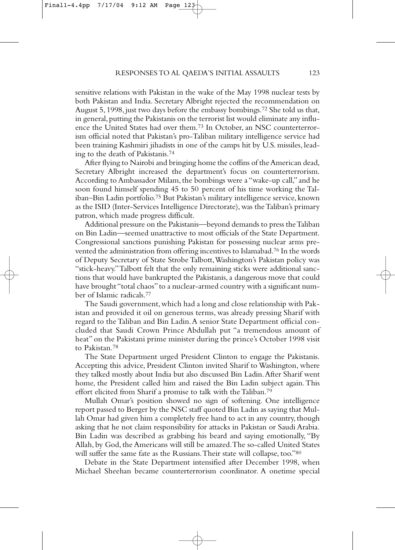sensitive relations with Pakistan in the wake of the May 1998 nuclear tests by both Pakistan and India. Secretary Albright rejected the recommendation on August 5, 1998, just two days before the embassy bombings.<sup>72</sup> She told us that, in general, putting the Pakistanis on the terrorist list would eliminate any influence the United States had over them.73 In October, an NSC counterterrorism official noted that Pakistan's pro-Taliban military intelligence service had been training Kashmiri jihadists in one of the camps hit by U.S. missiles, leading to the death of Pakistanis.74

After flying to Nairobi and bringing home the coffins of the American dead, Secretary Albright increased the department's focus on counterterrorism. According to Ambassador Milam, the bombings were a "wake-up call," and he soon found himself spending 45 to 50 percent of his time working the Taliban–Bin Ladin portfolio.75 But Pakistan's military intelligence service, known as the ISID (Inter-Services Intelligence Directorate), was the Taliban's primary patron, which made progress difficult.

Additional pressure on the Pakistanis—beyond demands to press the Taliban on Bin Ladin—seemed unattractive to most officials of the State Department. Congressional sanctions punishing Pakistan for possessing nuclear arms prevented the administration from offering incentives to Islamabad.76 In the words of Deputy Secretary of State Strobe Talbott,Washington's Pakistan policy was "stick-heavy."Talbott felt that the only remaining sticks were additional sanctions that would have bankrupted the Pakistanis, a dangerous move that could have brought "total chaos" to a nuclear-armed country with a significant number of Islamic radicals.77

The Saudi government,which had a long and close relationship with Pakistan and provided it oil on generous terms, was already pressing Sharif with regard to the Taliban and Bin Ladin.A senior State Department official concluded that Saudi Crown Prince Abdullah put "a tremendous amount of heat" on the Pakistani prime minister during the prince's October 1998 visit to Pakistan.78

The State Department urged President Clinton to engage the Pakistanis. Accepting this advice, President Clinton invited Sharif to Washington, where they talked mostly about India but also discussed Bin Ladin.After Sharif went home, the President called him and raised the Bin Ladin subject again.This effort elicited from Sharif a promise to talk with the Taliban.79

Mullah Omar's position showed no sign of softening. One intelligence report passed to Berger by the NSC staff quoted Bin Ladin as saying that Mullah Omar had given him a completely free hand to act in any country, though asking that he not claim responsibility for attacks in Pakistan or Saudi Arabia. Bin Ladin was described as grabbing his beard and saying emotionally, "By Allah, by God, the Americans will still be amazed.The so-called United States will suffer the same fate as the Russians. Their state will collapse, too."80

Debate in the State Department intensified after December 1998, when Michael Sheehan became counterterrorism coordinator. A onetime special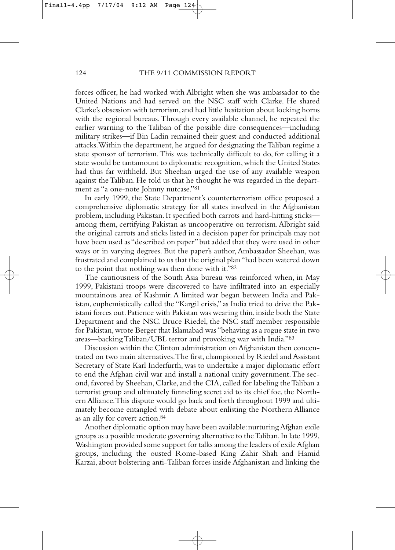forces officer, he had worked with Albright when she was ambassador to the United Nations and had served on the NSC staff with Clarke. He shared Clarke's obsession with terrorism,and had little hesitation about locking horns with the regional bureaus.Through every available channel, he repeated the earlier warning to the Taliban of the possible dire consequences—including military strikes—if Bin Ladin remained their guest and conducted additional attacks.Within the department, he argued for designating the Taliban regime a state sponsor of terrorism.This was technically difficult to do, for calling it a state would be tantamount to diplomatic recognition, which the United States had thus far withheld. But Sheehan urged the use of any available weapon against the Taliban. He told us that he thought he was regarded in the department as "a one-note Johnny nutcase."81

In early 1999, the State Department's counterterrorism office proposed a comprehensive diplomatic strategy for all states involved in the Afghanistan problem, including Pakistan. It specified both carrots and hard-hitting sticks among them, certifying Pakistan as uncooperative on terrorism.Albright said the original carrots and sticks listed in a decision paper for principals may not have been used as "described on paper"but added that they were used in other ways or in varying degrees. But the paper's author,Ambassador Sheehan, was frustrated and complained to us that the original plan "had been watered down to the point that nothing was then done with it."82

The cautiousness of the South Asia bureau was reinforced when, in May 1999, Pakistani troops were discovered to have infiltrated into an especially mountainous area of Kashmir. A limited war began between India and Pakistan, euphemistically called the "Kargil crisis," as India tried to drive the Pakistani forces out. Patience with Pakistan was wearing thin, inside both the State Department and the NSC. Bruce Riedel, the NSC staff member responsible for Pakistan, wrote Berger that Islamabad was "behaving as a rogue state in two areas—backing Taliban/UBL terror and provoking war with India."83

Discussion within the Clinton administration on Afghanistan then concentrated on two main alternatives.The first, championed by Riedel and Assistant Secretary of State Karl Inderfurth, was to undertake a major diplomatic effort to end the Afghan civil war and install a national unity government.The second, favored by Sheehan, Clarke, and the CIA, called for labeling the Taliban a terrorist group and ultimately funneling secret aid to its chief foe, the Northern Alliance.This dispute would go back and forth throughout 1999 and ultimately become entangled with debate about enlisting the Northern Alliance as an ally for covert action.84

Another diplomatic option may have been available:nurturing Afghan exile groups as a possible moderate governing alternative to the Taliban.In late 1999, Washington provided some support for talks among the leaders of exile Afghan groups, including the ousted Rome-based King Zahir Shah and Hamid Karzai, about bolstering anti-Taliban forces inside Afghanistan and linking the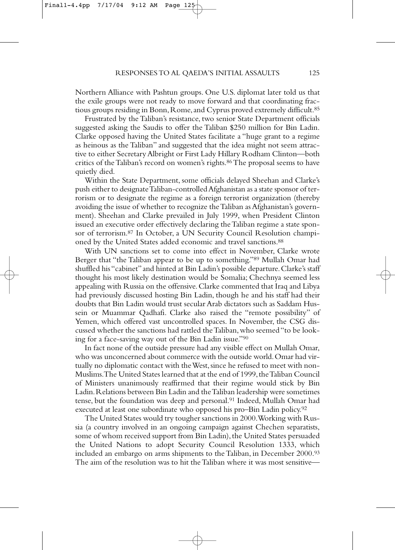Northern Alliance with Pashtun groups. One U.S. diplomat later told us that the exile groups were not ready to move forward and that coordinating fractious groups residing in Bonn, Rome, and Cyprus proved extremely difficult.<sup>85</sup>

Frustrated by the Taliban's resistance, two senior State Department officials suggested asking the Saudis to offer the Taliban \$250 million for Bin Ladin. Clarke opposed having the United States facilitate a "huge grant to a regime as heinous as the Taliban" and suggested that the idea might not seem attractive to either Secretary Albright or First Lady Hillary Rodham Clinton—both critics of the Taliban's record on women's rights.86The proposal seems to have quietly died.

Within the State Department, some officials delayed Sheehan and Clarke's push either to designate Taliban-controlled Afghanistan as a state sponsor of terrorism or to designate the regime as a foreign terrorist organization (thereby avoiding the issue of whether to recognize the Taliban as Afghanistan's government). Sheehan and Clarke prevailed in July 1999, when President Clinton issued an executive order effectively declaring the Taliban regime a state sponsor of terrorism.87 In October, a UN Security Council Resolution championed by the United States added economic and travel sanctions.88

With UN sanctions set to come into effect in November, Clarke wrote Berger that "the Taliban appear to be up to something."89 Mullah Omar had shuffled his "cabinet" and hinted at Bin Ladin's possible departure. Clarke's staff thought his most likely destination would be Somalia; Chechnya seemed less appealing with Russia on the offensive.Clarke commented that Iraq and Libya had previously discussed hosting Bin Ladin, though he and his staff had their doubts that Bin Ladin would trust secular Arab dictators such as Saddam Hussein or Muammar Qadhafi. Clarke also raised the "remote possibility" of Yemen, which offered vast uncontrolled spaces. In November, the CSG discussed whether the sanctions had rattled the Taliban,who seemed "to be looking for a face-saving way out of the Bin Ladin issue."90

In fact none of the outside pressure had any visible effect on Mullah Omar, who was unconcerned about commerce with the outside world.Omar had virtually no diplomatic contact with the West, since he refused to meet with non-Muslims. The United States learned that at the end of 1999, the Taliban Council of Ministers unanimously reaffirmed that their regime would stick by Bin Ladin.Relations between Bin Ladin and the Taliban leadership were sometimes tense, but the foundation was deep and personal.<sup>91</sup> Indeed, Mullah Omar had executed at least one subordinate who opposed his pro–Bin Ladin policy.92

The United States would try tougher sanctions in 2000.Working with Russia (a country involved in an ongoing campaign against Chechen separatists, some of whom received support from Bin Ladin), the United States persuaded the United Nations to adopt Security Council Resolution 1333, which included an embargo on arms shipments to the Taliban, in December 2000.93 The aim of the resolution was to hit the Taliban where it was most sensitive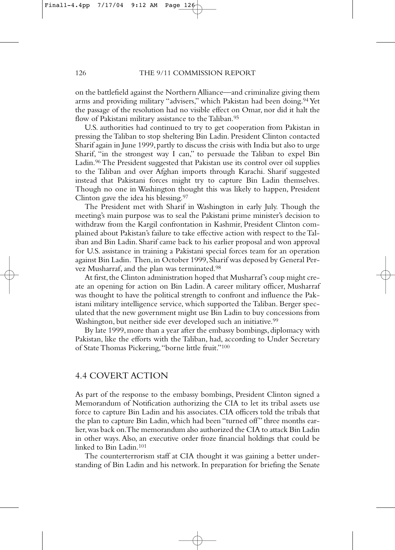on the battlefield against the Northern Alliance—and criminalize giving them arms and providing military "advisers," which Pakistan had been doing.<sup>94</sup> Yet the passage of the resolution had no visible effect on Omar, nor did it halt the flow of Pakistani military assistance to the Taliban.<sup>95</sup>

U.S. authorities had continued to try to get cooperation from Pakistan in pressing the Taliban to stop sheltering Bin Ladin. President Clinton contacted Sharif again in June 1999, partly to discuss the crisis with India but also to urge Sharif, "in the strongest way I can," to persuade the Taliban to expel Bin Ladin.96The President suggested that Pakistan use its control over oil supplies to the Taliban and over Afghan imports through Karachi. Sharif suggested instead that Pakistani forces might try to capture Bin Ladin themselves. Though no one in Washington thought this was likely to happen, President Clinton gave the idea his blessing.97

The President met with Sharif in Washington in early July. Though the meeting's main purpose was to seal the Pakistani prime minister's decision to withdraw from the Kargil confrontation in Kashmir, President Clinton complained about Pakistan's failure to take effective action with respect to the Taliban and Bin Ladin. Sharif came back to his earlier proposal and won approval for U.S. assistance in training a Pakistani special forces team for an operation against Bin Ladin. Then, in October 1999, Sharif was deposed by General Pervez Musharraf, and the plan was terminated.98

At first, the Clinton administration hoped that Musharraf's coup might create an opening for action on Bin Ladin. A career military officer, Musharraf was thought to have the political strength to confront and influence the Pakistani military intelligence service, which supported the Taliban. Berger speculated that the new government might use Bin Ladin to buy concessions from Washington, but neither side ever developed such an initiative.<sup>99</sup>

By late 1999, more than a year after the embassy bombings, diplomacy with Pakistan, like the efforts with the Taliban, had, according to Under Secretary of State Thomas Pickering,"borne little fruit."100

# 4.4 COVERT ACTION

As part of the response to the embassy bombings, President Clinton signed a Memorandum of Notification authorizing the CIA to let its tribal assets use force to capture Bin Ladin and his associates. CIA officers told the tribals that the plan to capture Bin Ladin, which had been "turned off" three months earlier,was back on.The memorandum also authorized the CIA to attack Bin Ladin in other ways. Also, an executive order froze financial holdings that could be linked to Bin Ladin.101

The counterterrorism staff at CIA thought it was gaining a better understanding of Bin Ladin and his network. In preparation for briefing the Senate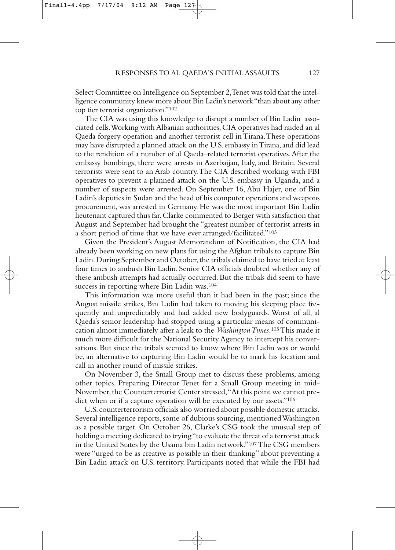Select Committee on Intelligence on September 2,Tenet was told that the intelligence community knew more about Bin Ladin's network "than about any other top tier terrorist organization."102

The CIA was using this knowledge to disrupt a number of Bin Ladin–associated cells.Working with Albanian authorities, CIA operatives had raided an al Qaeda forgery operation and another terrorist cell in Tirana.These operations may have disrupted a planned attack on the U.S. embassy in Tirana, and did lead to the rendition of a number of al Qaeda–related terrorist operatives.After the embassy bombings, there were arrests in Azerbaijan, Italy, and Britain. Several terrorists were sent to an Arab country.The CIA described working with FBI operatives to prevent a planned attack on the U.S. embassy in Uganda, and a number of suspects were arrested. On September 16, Abu Hajer, one of Bin Ladin's deputies in Sudan and the head of his computer operations and weapons procurement, was arrested in Germany. He was the most important Bin Ladin lieutenant captured thus far.Clarke commented to Berger with satisfaction that August and September had brought the "greatest number of terrorist arrests in a short period of time that we have ever arranged/facilitated."103

Given the President's August Memorandum of Notification, the CIA had already been working on new plans for using the Afghan tribals to capture Bin Ladin. During September and October, the tribals claimed to have tried at least four times to ambush Bin Ladin. Senior CIA officials doubted whether any of these ambush attempts had actually occurred. But the tribals did seem to have success in reporting where Bin Ladin was.<sup>104</sup>

This information was more useful than it had been in the past; since the August missile strikes, Bin Ladin had taken to moving his sleeping place frequently and unpredictably and had added new bodyguards. Worst of all, al Qaeda's senior leadership had stopped using a particular means of communication almost immediately after a leak to the *Washington Times*.105This made it much more difficult for the National Security Agency to intercept his conversations. But since the tribals seemed to know where Bin Ladin was or would be, an alternative to capturing Bin Ladin would be to mark his location and call in another round of missile strikes.

On November 3, the Small Group met to discuss these problems, among other topics. Preparing Director Tenet for a Small Group meeting in mid-November, the Counterterrorist Center stressed, "At this point we cannot predict when or if a capture operation will be executed by our assets."106

U.S.counterterrorism officials also worried about possible domestic attacks. Several intelligence reports, some of dubious sourcing, mentioned Washington as a possible target. On October 26, Clarke's CSG took the unusual step of holding a meeting dedicated to trying "to evaluate the threat of a terrorist attack in the United States by the Usama bin Ladin network."<sup>107</sup> The CSG members were "urged to be as creative as possible in their thinking" about preventing a Bin Ladin attack on U.S. territory. Participants noted that while the FBI had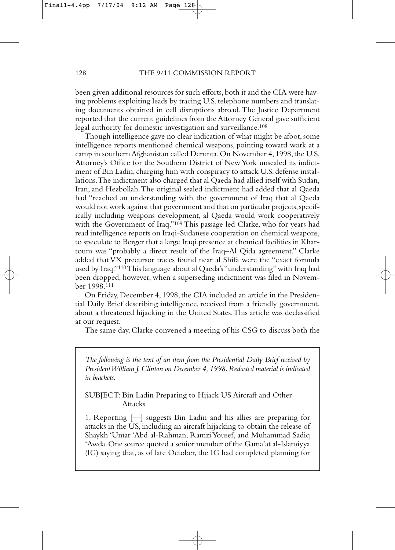been given additional resources for such efforts, both it and the CIA were having problems exploiting leads by tracing U.S. telephone numbers and translating documents obtained in cell disruptions abroad. The Justice Department reported that the current guidelines from the Attorney General gave sufficient legal authority for domestic investigation and surveillance.108

Though intelligence gave no clear indication of what might be afoot, some intelligence reports mentioned chemical weapons, pointing toward work at a camp in southern Afghanistan called Derunta. On November 4, 1998, the U.S. Attorney's Office for the Southern District of New York unsealed its indictment of Bin Ladin, charging him with conspiracy to attack U.S. defense installations.The indictment also charged that al Qaeda had allied itself with Sudan, Iran, and Hezbollah.The original sealed indictment had added that al Qaeda had "reached an understanding with the government of Iraq that al Qaeda would not work against that government and that on particular projects, specifically including weapons development, al Qaeda would work cooperatively with the Government of Iraq."<sup>109</sup> This passage led Clarke, who for years had read intelligence reports on Iraqi-Sudanese cooperation on chemical weapons, to speculate to Berger that a large Iraqi presence at chemical facilities in Khartoum was "probably a direct result of the Iraq–Al Qida agreement." Clarke added that VX precursor traces found near al Shifa were the "exact formula used by Iraq."<sup>110</sup>This language about al Qaeda's "understanding" with Iraq had been dropped, however, when a superseding indictment was filed in November 1998.111

On Friday, December 4, 1998, the CIA included an article in the Presidential Daily Brief describing intelligence, received from a friendly government, about a threatened hijacking in the United States.This article was declassified at our request.

The same day, Clarke convened a meeting of his CSG to discuss both the

*The following is the text of an item from the Presidential Daily Brief received by President William J.Clinton on December 4,1998.Redacted material is indicated in brackets.*

SUBJECT: Bin Ladin Preparing to Hijack US Aircraft and Other Attacks

1. Reporting [—] suggests Bin Ladin and his allies are preparing for attacks in the US, including an aircraft hijacking to obtain the release of Shaykh 'Umar 'Abd al-Rahman, Ramzi Yousef, and Muhammad Sadiq 'Awda.One source quoted a senior member of the Gama'at al-Islamiyya (IG) saying that, as of late October, the IG had completed planning for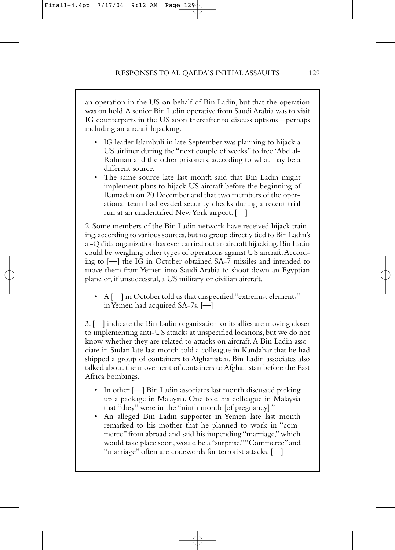an operation in the US on behalf of Bin Ladin, but that the operation was on hold.A senior Bin Ladin operative from Saudi Arabia was to visit IG counterparts in the US soon thereafter to discuss options—perhaps including an aircraft hijacking.

- IG leader Islambuli in late September was planning to hijack a US airliner during the "next couple of weeks" to free 'Abd al-Rahman and the other prisoners, according to what may be a different source.
- The same source late last month said that Bin Ladin might implement plans to hijack US aircraft before the beginning of Ramadan on 20 December and that two members of the operational team had evaded security checks during a recent trial run at an unidentified New York airport. [—]

2. Some members of the Bin Ladin network have received hijack training,according to various sources,but no group directly tied to Bin Ladin's al-Qa'ida organization has ever carried out an aircraft hijacking.Bin Ladin could be weighing other types of operations against US aircraft.According to [—] the IG in October obtained SA-7 missiles and intended to move them from Yemen into Saudi Arabia to shoot down an Egyptian plane or, if unsuccessful, a US military or civilian aircraft.

• A  $\left\vert -\right\vert$  in October told us that unspecified "extremist elements" in Yemen had acquired SA-7s. [—]

3. [—] indicate the Bin Ladin organization or its allies are moving closer to implementing anti-US attacks at unspecified locations, but we do not know whether they are related to attacks on aircraft.A Bin Ladin associate in Sudan late last month told a colleague in Kandahar that he had shipped a group of containers to Afghanistan. Bin Ladin associates also talked about the movement of containers to Afghanistan before the East Africa bombings.

- In other  $\left\lfloor -\right\rfloor$  Bin Ladin associates last month discussed picking up a package in Malaysia. One told his colleague in Malaysia that "they" were in the "ninth month [of pregnancy]."
- An alleged Bin Ladin supporter in Yemen late last month remarked to his mother that he planned to work in "commerce" from abroad and said his impending "marriage," which would take place soon,would be a "surprise.""Commerce"and "marriage" often are codewords for terrorist attacks. [—]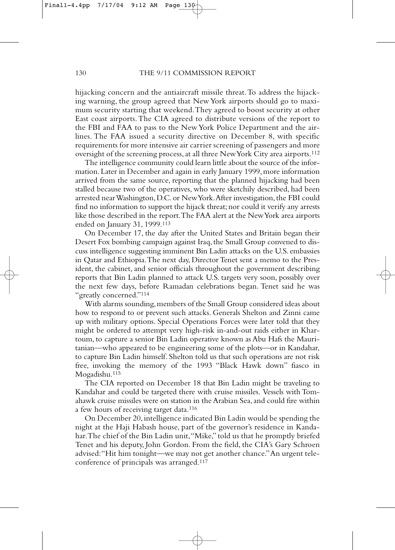hijacking concern and the antiaircraft missile threat.To address the hijacking warning, the group agreed that New York airports should go to maximum security starting that weekend.They agreed to boost security at other East coast airports.The CIA agreed to distribute versions of the report to the FBI and FAA to pass to the New York Police Department and the airlines. The FAA issued a security directive on December 8, with specific requirements for more intensive air carrier screening of passengers and more oversight of the screening process, at all three New York City area airports.<sup>112</sup>

The intelligence community could learn little about the source of the information. Later in December and again in early January 1999, more information arrived from the same source, reporting that the planned hijacking had been stalled because two of the operatives, who were sketchily described, had been arrested near Washington,D.C.or New York.After investigation,the FBI could find no information to support the hijack threat; nor could it verify any arrests like those described in the report.The FAA alert at the New York area airports ended on January 31, 1999.113

On December 17, the day after the United States and Britain began their Desert Fox bombing campaign against Iraq, the Small Group convened to discuss intelligence suggesting imminent Bin Ladin attacks on the U.S. embassies in Qatar and Ethiopia.The next day, Director Tenet sent a memo to the President, the cabinet, and senior officials throughout the government describing reports that Bin Ladin planned to attack U.S. targets very soon, possibly over the next few days, before Ramadan celebrations began. Tenet said he was "greatly concerned."114

With alarms sounding, members of the Small Group considered ideas about how to respond to or prevent such attacks. Generals Shelton and Zinni came up with military options. Special Operations Forces were later told that they might be ordered to attempt very high-risk in-and-out raids either in Khartoum, to capture a senior Bin Ladin operative known as Abu Hafs the Mauritanian—who appeared to be engineering some of the plots—or in Kandahar, to capture Bin Ladin himself. Shelton told us that such operations are not risk free, invoking the memory of the 1993 "Black Hawk down" fiasco in Mogadishu.115

The CIA reported on December 18 that Bin Ladin might be traveling to Kandahar and could be targeted there with cruise missiles. Vessels with Tomahawk cruise missiles were on station in the Arabian Sea, and could fire within a few hours of receiving target data.116

On December 20,intelligence indicated Bin Ladin would be spending the night at the Haji Habash house, part of the governor's residence in Kandahar.The chief of the Bin Ladin unit,"Mike," told us that he promptly briefed Tenet and his deputy, John Gordon. From the field, the CIA's Gary Schroen advised:"Hit him tonight—we may not get another chance."An urgent teleconference of principals was arranged.117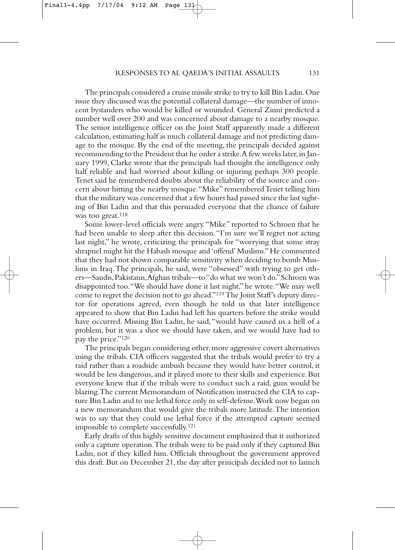The principals considered a cruise missile strike to try to kill Bin Ladin.One issue they discussed was the potential collateral damage—the number of innocent bystanders who would be killed or wounded. General Zinni predicted a number well over 200 and was concerned about damage to a nearby mosque. The senior intelligence officer on the Joint Staff apparently made a different calculation,estimating half as much collateral damage and not predicting damage to the mosque. By the end of the meeting, the principals decided against recommending to the President that he order a strike.A few weeks later,in January 1999, Clarke wrote that the principals had thought the intelligence only half reliable and had worried about killing or injuring perhaps 300 people. Tenet said he remembered doubts about the reliability of the source and concern about hitting the nearby mosque."Mike" remembered Tenet telling him that the military was concerned that a few hours had passed since the last sighting of Bin Ladin and that this persuaded everyone that the chance of failure was too great.<sup>118</sup>

Some lower-level officials were angry."Mike" reported to Schroen that he had been unable to sleep after this decision."I'm sure we'll regret not acting last night," he wrote, criticizing the principals for "worrying that some stray shrapnel might hit the Habash mosque and 'offend' Muslims." He commented that they had not shown comparable sensitivity when deciding to bomb Muslims in Iraq.The principals, he said, were "obsessed" with trying to get others—Saudis,Pakistanis,Afghan tribals—to "do what we won't do."Schroen was disappointed too."We should have done it last night," he wrote."We may well come to regret the decision not to go ahead."119 The Joint Staff's deputy director for operations agreed, even though he told us that later intelligence appeared to show that Bin Ladin had left his quarters before the strike would have occurred. Missing Bin Ladin, he said,"would have caused us a hell of a problem, but it was a shot we should have taken, and we would have had to pay the price."120

The principals began considering other, more aggressive covert alternatives using the tribals. CIA officers suggested that the tribals would prefer to try a raid rather than a roadside ambush because they would have better control, it would be less dangerous, and it played more to their skills and experience. But everyone knew that if the tribals were to conduct such a raid, guns would be blazing.The current Memorandum of Notification instructed the CIA to capture Bin Ladin and to use lethal force only in self-defense.Work now began on a new memorandum that would give the tribals more latitude.The intention was to say that they could use lethal force if the attempted capture seemed impossible to complete successfully.121

Early drafts of this highly sensitive document emphasized that it authorized only a capture operation.The tribals were to be paid only if they captured Bin Ladin, not if they killed him. Officials throughout the government approved this draft. But on December 21, the day after principals decided not to launch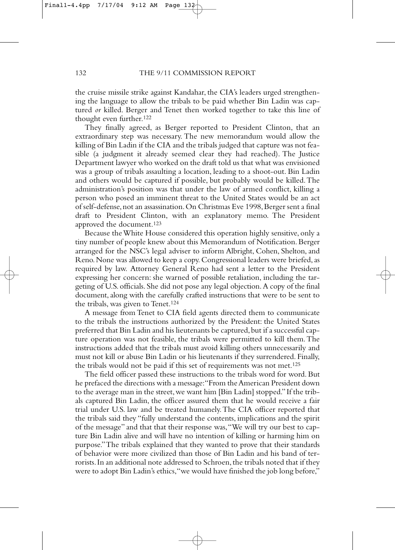the cruise missile strike against Kandahar, the CIA's leaders urged strengthening the language to allow the tribals to be paid whether Bin Ladin was captured *or* killed. Berger and Tenet then worked together to take this line of thought even further.122

They finally agreed, as Berger reported to President Clinton, that an extraordinary step was necessary. The new memorandum would allow the killing of Bin Ladin if the CIA and the tribals judged that capture was not feasible (a judgment it already seemed clear they had reached). The Justice Department lawyer who worked on the draft told us that what was envisioned was a group of tribals assaulting a location, leading to a shoot-out. Bin Ladin and others would be captured if possible, but probably would be killed.The administration's position was that under the law of armed conflict, killing a person who posed an imminent threat to the United States would be an act of self-defense,not an assassination.On Christmas Eve 1998,Berger sent a final draft to President Clinton, with an explanatory memo. The President approved the document.123

Because the White House considered this operation highly sensitive, only a tiny number of people knew about this Memorandum of Notification. Berger arranged for the NSC's legal adviser to inform Albright, Cohen, Shelton, and Reno.None was allowed to keep a copy. Congressional leaders were briefed, as required by law. Attorney General Reno had sent a letter to the President expressing her concern: she warned of possible retaliation, including the targeting of U.S. officials. She did not pose any legal objection. A copy of the final document, along with the carefully crafted instructions that were to be sent to the tribals, was given to Tenet.124

A message from Tenet to CIA field agents directed them to communicate to the tribals the instructions authorized by the President: the United States preferred that Bin Ladin and his lieutenants be captured, but if a successful capture operation was not feasible, the tribals were permitted to kill them.The instructions added that the tribals must avoid killing others unnecessarily and must not kill or abuse Bin Ladin or his lieutenants if they surrendered. Finally, the tribals would not be paid if this set of requirements was not met.125

The field officer passed these instructions to the tribals word for word. But he prefaced the directions with a message:"From the American President down to the average man in the street,we want him [Bin Ladin] stopped."If the tribals captured Bin Ladin, the officer assured them that he would receive a fair trial under U.S. law and be treated humanely.The CIA officer reported that the tribals said they "fully understand the contents, implications and the spirit of the message" and that that their response was,"We will try our best to capture Bin Ladin alive and will have no intention of killing or harming him on purpose."The tribals explained that they wanted to prove that their standards of behavior were more civilized than those of Bin Ladin and his band of terrorists. In an additional note addressed to Schroen, the tribals noted that if they were to adopt Bin Ladin's ethics,"we would have finished the job long before,"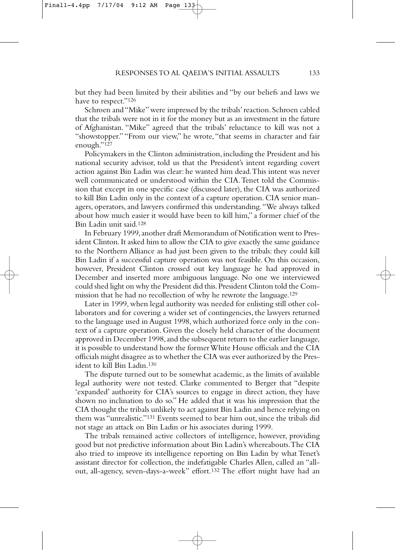but they had been limited by their abilities and "by our beliefs and laws we have to respect."126

Schroen and "Mike" were impressed by the tribals' reaction. Schroen cabled that the tribals were not in it for the money but as an investment in the future of Afghanistan. "Mike" agreed that the tribals' reluctance to kill was not a "showstopper." "From our view," he wrote, "that seems in character and fair enough."127

Policymakers in the Clinton administration, including the President and his national security advisor, told us that the President's intent regarding covert action against Bin Ladin was clear: he wanted him dead.This intent was never well communicated or understood within the CIA. Tenet told the Commission that except in one specific case (discussed later), the CIA was authorized to kill Bin Ladin only in the context of a capture operation. CIA senior managers, operators, and lawyers confirmed this understanding."We always talked about how much easier it would have been to kill him," a former chief of the Bin Ladin unit said.128

In February 1999, another draft Memorandum of Notification went to President Clinton.It asked him to allow the CIA to give exactly the same guidance to the Northern Alliance as had just been given to the tribals: they could kill Bin Ladin if a successful capture operation was not feasible. On this occasion, however, President Clinton crossed out key language he had approved in December and inserted more ambiguous language. No one we interviewed could shed light on why the President did this. President Clinton told the Commission that he had no recollection of why he rewrote the language.129

Later in 1999, when legal authority was needed for enlisting still other collaborators and for covering a wider set of contingencies, the lawyers returned to the language used in August 1998, which authorized force only in the context of a capture operation. Given the closely held character of the document approved in December 1998,and the subsequent return to the earlier language, it is possible to understand how the former White House officials and the CIA officials might disagree as to whether the CIA was ever authorized by the President to kill Bin Ladin.130

The dispute turned out to be somewhat academic, as the limits of available legal authority were not tested. Clarke commented to Berger that "despite 'expanded' authority for CIA's sources to engage in direct action, they have shown no inclination to do so." He added that it was his impression that the CIA thought the tribals unlikely to act against Bin Ladin and hence relying on them was "unrealistic."131 Events seemed to bear him out, since the tribals did not stage an attack on Bin Ladin or his associates during 1999.

The tribals remained active collectors of intelligence, however, providing good but not predictive information about Bin Ladin's whereabouts.The CIA also tried to improve its intelligence reporting on Bin Ladin by what Tenet's assistant director for collection, the indefatigable Charles Allen, called an "allout, all-agency, seven-days-a-week" effort.<sup>132</sup> The effort might have had an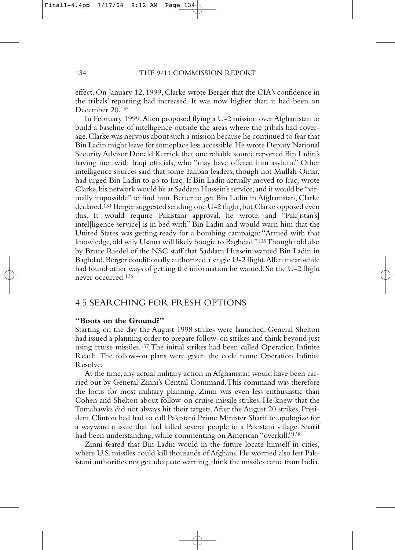effect. On January 12, 1999, Clarke wrote Berger that the CIA's confidence in the tribals' reporting had increased. It was now higher than it had been on December 20.133

In February 1999,Allen proposed flying a U-2 mission over Afghanistan to build a baseline of intelligence outside the areas where the tribals had coverage.Clarke was nervous about such a mission because he continued to fear that Bin Ladin might leave for someplace less accessible.He wrote Deputy National Security Advisor Donald Kerrick that one reliable source reported Bin Ladin's having met with Iraqi officials, who "may have offered him asylum." Other intelligence sources said that some Taliban leaders, though not Mullah Omar, had urged Bin Ladin to go to Iraq. If Bin Ladin actually moved to Iraq, wrote Clarke,his network would be at Saddam Hussein's service,and it would be "virtually impossible" to find him. Better to get Bin Ladin in Afghanistan, Clarke declared.<sup>134</sup> Berger suggested sending one U-2 flight, but Clarke opposed even this. It would require Pakistani approval, he wrote; and "Pak[istan's] intel[ligence service] is in bed with" Bin Ladin and would warn him that the United States was getting ready for a bombing campaign:"Armed with that knowledge, old wily Usama will likely boogie to Baghdad."<sup>135</sup>Though told also by Bruce Riedel of the NSC staff that Saddam Hussein wanted Bin Ladin in Baghdad,Berger conditionally authorized a single U-2 flight.Allen meanwhile had found other ways of getting the information he wanted. So the U-2 flight never occurred.136

# 4.5 SEARCHING FOR FRESH OPTIONS

## **"Boots on the Ground?"**

Starting on the day the August 1998 strikes were launched, General Shelton had issued a planning order to prepare follow-on strikes and think beyond just using cruise missiles.137 The initial strikes had been called Operation Infinite Reach. The follow-on plans were given the code name Operation Infinite Resolve.

At the time, any actual military action in Afghanistan would have been carried out by General Zinni's Central Command.This command was therefore the locus for most military planning. Zinni was even less enthusiastic than Cohen and Shelton about follow-on cruise missile strikes. He knew that the Tomahawks did not always hit their targets.After the August 20 strikes, President Clinton had had to call Pakistani Prime Minister Sharif to apologize for a wayward missile that had killed several people in a Pakistani village. Sharif had been understanding, while commenting on American "overkill."<sup>138</sup>

Zinni feared that Bin Ladin would in the future locate himself in cities, where U.S. missiles could kill thousands of Afghans. He worried also lest Pakistani authorities not get adequate warning, think the missiles came from India,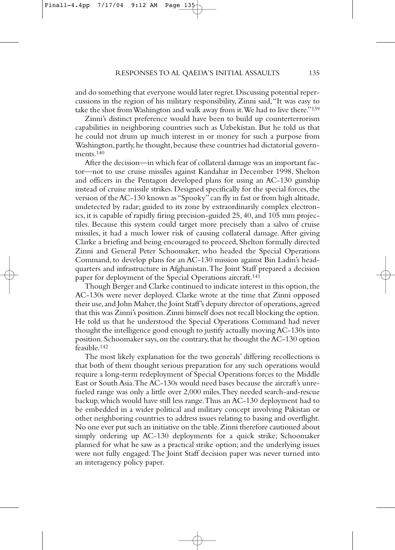and do something that everyone would later regret.Discussing potential repercussions in the region of his military responsibility, Zinni said,"It was easy to take the shot from Washington and walk away from it.We had to live there."139

Zinni's distinct preference would have been to build up counterterrorism capabilities in neighboring countries such as Uzbekistan. But he told us that he could not drum up much interest in or money for such a purpose from Washington, partly, he thought, because these countries had dictatorial governments.<sup>140</sup>

After the decision—in which fear of collateral damage was an important factor—not to use cruise missiles against Kandahar in December 1998, Shelton and officers in the Pentagon developed plans for using an AC-130 gunship instead of cruise missile strikes. Designed specifically for the special forces, the version of the AC-130 known as "Spooky"can fly in fast or from high altitude, undetected by radar; guided to its zone by extraordinarily complex electronics, it is capable of rapidly firing precision-guided 25, 40, and 105 mm projectiles. Because this system could target more precisely than a salvo of cruise missiles, it had a much lower risk of causing collateral damage. After giving Clarke a briefing and being encouraged to proceed, Shelton formally directed Zinni and General Peter Schoomaker, who headed the Special Operations Command, to develop plans for an AC-130 mission against Bin Ladin's headquarters and infrastructure in Afghanistan.The Joint Staff prepared a decision paper for deployment of the Special Operations aircraft.141

Though Berger and Clarke continued to indicate interest in this option, the AC-130s were never deployed. Clarke wrote at the time that Zinni opposed their use, and John Maher, the Joint Staff's deputy director of operations, agreed that this was Zinni's position.Zinni himself does not recall blocking the option. He told us that he understood the Special Operations Command had never thought the intelligence good enough to justify actually moving AC-130s into position. Schoomaker says, on the contrary, that he thought the AC-130 option feasible.142

The most likely explanation for the two generals' differing recollections is that both of them thought serious preparation for any such operations would require a long-term redeployment of Special Operations forces to the Middle East or South Asia.The AC-130s would need bases because the aircraft's unrefueled range was only a little over 2,000 miles.They needed search-and-rescue backup, which would have still less range.Thus an AC-130 deployment had to be embedded in a wider political and military concept involving Pakistan or other neighboring countries to address issues relating to basing and overflight. No one ever put such an initiative on the table.Zinni therefore cautioned about simply ordering up AC-130 deployments for a quick strike; Schoomaker planned for what he saw as a practical strike option; and the underlying issues were not fully engaged.The Joint Staff decision paper was never turned into an interagency policy paper.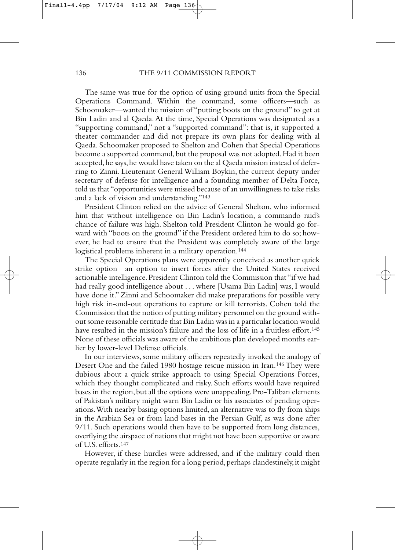The same was true for the option of using ground units from the Special Operations Command. Within the command, some officers—such as Schoomaker—wanted the mission of "putting boots on the ground" to get at Bin Ladin and al Qaeda. At the time, Special Operations was designated as a "supporting command," not a "supported command": that is, it supported a theater commander and did not prepare its own plans for dealing with al Qaeda. Schoomaker proposed to Shelton and Cohen that Special Operations become a supported command, but the proposal was not adopted. Had it been accepted, he says, he would have taken on the al Qaeda mission instead of deferring to Zinni. Lieutenant General William Boykin, the current deputy under secretary of defense for intelligence and a founding member of Delta Force, told us that "opportunities were missed because of an unwillingness to take risks and a lack of vision and understanding."143

President Clinton relied on the advice of General Shelton, who informed him that without intelligence on Bin Ladin's location, a commando raid's chance of failure was high. Shelton told President Clinton he would go forward with "boots on the ground" if the President ordered him to do so; however, he had to ensure that the President was completely aware of the large logistical problems inherent in a military operation.<sup>144</sup>

The Special Operations plans were apparently conceived as another quick strike option—an option to insert forces after the United States received actionable intelligence. President Clinton told the Commission that "if we had had really good intelligence about . . . where [Usama Bin Ladin] was, I would have done it." Zinni and Schoomaker did make preparations for possible very high risk in-and-out operations to capture or kill terrorists. Cohen told the Commission that the notion of putting military personnel on the ground without some reasonable certitude that Bin Ladin was in a particular location would have resulted in the mission's failure and the loss of life in a fruitless effort.<sup>145</sup> None of these officials was aware of the ambitious plan developed months earlier by lower-level Defense officials.

In our interviews, some military officers repeatedly invoked the analogy of Desert One and the failed 1980 hostage rescue mission in Iran.146They were dubious about a quick strike approach to using Special Operations Forces, which they thought complicated and risky. Such efforts would have required bases in the region, but all the options were unappealing. Pro-Taliban elements of Pakistan's military might warn Bin Ladin or his associates of pending operations.With nearby basing options limited, an alternative was to fly from ships in the Arabian Sea or from land bases in the Persian Gulf, as was done after 9/11. Such operations would then have to be supported from long distances, overflying the airspace of nations that might not have been supportive or aware of U.S. efforts.147

However, if these hurdles were addressed, and if the military could then operate regularly in the region for a long period, perhaps clandestinely, it might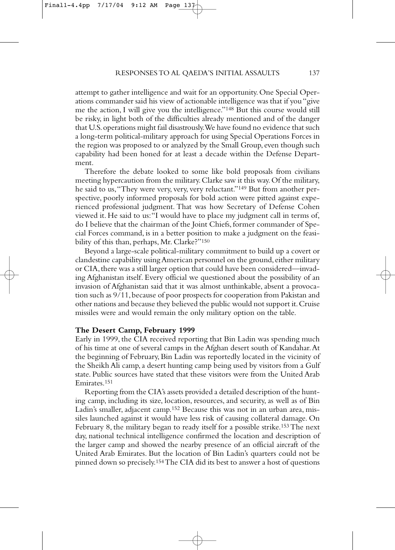attempt to gather intelligence and wait for an opportunity. One Special Operations commander said his view of actionable intelligence was that if you "give me the action, I will give you the intelligence."148 But this course would still be risky, in light both of the difficulties already mentioned and of the danger that U.S.operations might fail disastrously.We have found no evidence that such a long-term political-military approach for using Special Operations Forces in the region was proposed to or analyzed by the Small Group, even though such capability had been honed for at least a decade within the Defense Department.

Therefore the debate looked to some like bold proposals from civilians meeting hypercaution from the military.Clarke saw it this way.Of the military, he said to us,"They were very, very, very reluctant."149 But from another perspective, poorly informed proposals for bold action were pitted against experienced professional judgment. That was how Secretary of Defense Cohen viewed it. He said to us:"I would have to place my judgment call in terms of, do I believe that the chairman of the Joint Chiefs, former commander of Special Forces command, is in a better position to make a judgment on the feasibility of this than, perhaps, Mr. Clarke?"150

Beyond a large-scale political-military commitment to build up a covert or clandestine capability using American personnel on the ground, either military or CIA,there was a still larger option that could have been considered—invading Afghanistan itself. Every official we questioned about the possibility of an invasion of Afghanistan said that it was almost unthinkable, absent a provocation such as 9/11,because of poor prospects for cooperation from Pakistan and other nations and because they believed the public would not support it.Cruise missiles were and would remain the only military option on the table.

#### **The Desert Camp, February 1999**

Early in 1999, the CIA received reporting that Bin Ladin was spending much of his time at one of several camps in the Afghan desert south of Kandahar.At the beginning of February, Bin Ladin was reportedly located in the vicinity of the Sheikh Ali camp, a desert hunting camp being used by visitors from a Gulf state. Public sources have stated that these visitors were from the United Arab Emirates.151

Reporting from the CIA's assets provided a detailed description of the hunting camp, including its size, location, resources, and security, as well as of Bin Ladin's smaller, adjacent camp.152 Because this was not in an urban area, missiles launched against it would have less risk of causing collateral damage. On February 8, the military began to ready itself for a possible strike.<sup>153</sup> The next day, national technical intelligence confirmed the location and description of the larger camp and showed the nearby presence of an official aircraft of the United Arab Emirates. But the location of Bin Ladin's quarters could not be pinned down so precisely.154The CIA did its best to answer a host of questions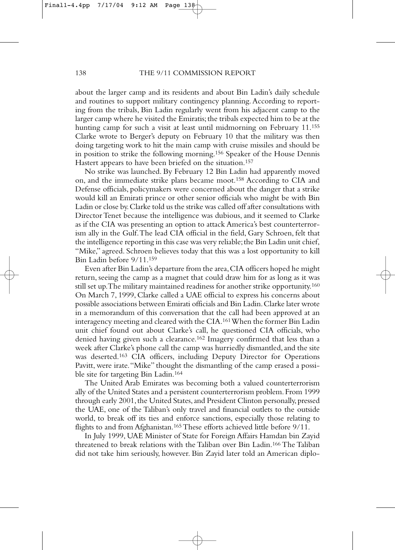about the larger camp and its residents and about Bin Ladin's daily schedule and routines to support military contingency planning. According to reporting from the tribals, Bin Ladin regularly went from his adjacent camp to the larger camp where he visited the Emiratis; the tribals expected him to be at the hunting camp for such a visit at least until midmorning on February 11.155 Clarke wrote to Berger's deputy on February 10 that the military was then doing targeting work to hit the main camp with cruise missiles and should be in position to strike the following morning.156 Speaker of the House Dennis Hastert appears to have been briefed on the situation.157

No strike was launched. By February 12 Bin Ladin had apparently moved on, and the immediate strike plans became moot.158 According to CIA and Defense officials, policymakers were concerned about the danger that a strike would kill an Emirati prince or other senior officials who might be with Bin Ladin or close by.Clarke told us the strike was called off after consultations with Director Tenet because the intelligence was dubious, and it seemed to Clarke as if the CIA was presenting an option to attack America's best counterterrorism ally in the Gulf.The lead CIA official in the field, Gary Schroen, felt that the intelligence reporting in this case was very reliable;the Bin Ladin unit chief, "Mike," agreed. Schroen believes today that this was a lost opportunity to kill Bin Ladin before 9/11.159

Even after Bin Ladin's departure from the area,CIA officers hoped he might return, seeing the camp as a magnet that could draw him for as long as it was still set up. The military maintained readiness for another strike opportunity.<sup>160</sup> On March 7, 1999, Clarke called a UAE official to express his concerns about possible associations between Emirati officials and Bin Ladin.Clarke later wrote in a memorandum of this conversation that the call had been approved at an interagency meeting and cleared with the CIA.161When the former Bin Ladin unit chief found out about Clarke's call, he questioned CIA officials, who denied having given such a clearance.162 Imagery confirmed that less than a week after Clarke's phone call the camp was hurriedly dismantled, and the site was deserted.163 CIA officers, including Deputy Director for Operations Pavitt, were irate."Mike" thought the dismantling of the camp erased a possible site for targeting Bin Ladin.164

The United Arab Emirates was becoming both a valued counterterrorism ally of the United States and a persistent counterterrorism problem.From 1999 through early 2001, the United States, and President Clinton personally, pressed the UAE, one of the Taliban's only travel and financial outlets to the outside world, to break off its ties and enforce sanctions, especially those relating to flights to and from Afghanistan.<sup>165</sup> These efforts achieved little before 9/11.

In July 1999, UAE Minister of State for Foreign Affairs Hamdan bin Zayid threatened to break relations with the Taliban over Bin Ladin.166 The Taliban did not take him seriously, however. Bin Zayid later told an American diplo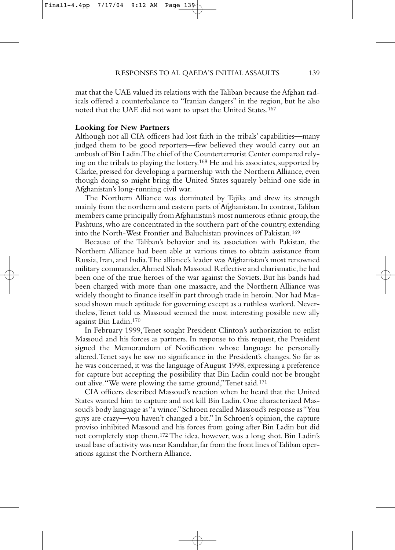mat that the UAE valued its relations with the Taliban because the Afghan radicals offered a counterbalance to "Iranian dangers" in the region, but he also noted that the UAE did not want to upset the United States.167

### **Looking for New Partners**

Although not all CIA officers had lost faith in the tribals' capabilities—many judged them to be good reporters—few believed they would carry out an ambush of Bin Ladin.The chief of the Counterterrorist Center compared relying on the tribals to playing the lottery.168 He and his associates, supported by Clarke, pressed for developing a partnership with the Northern Alliance, even though doing so might bring the United States squarely behind one side in Afghanistan's long-running civil war.

The Northern Alliance was dominated by Tajiks and drew its strength mainly from the northern and eastern parts of Afghanistan. In contrast,Taliban members came principally from Afghanistan's most numerous ethnic group, the Pashtuns, who are concentrated in the southern part of the country, extending into the North-West Frontier and Baluchistan provinces of Pakistan.169

Because of the Taliban's behavior and its association with Pakistan, the Northern Alliance had been able at various times to obtain assistance from Russia, Iran, and India.The alliance's leader was Afghanistan's most renowned military commander,Ahmed Shah Massoud.Reflective and charismatic,he had been one of the true heroes of the war against the Soviets. But his bands had been charged with more than one massacre, and the Northern Alliance was widely thought to finance itself in part through trade in heroin. Nor had Massoud shown much aptitude for governing except as a ruthless warlord. Nevertheless,Tenet told us Massoud seemed the most interesting possible new ally against Bin Ladin.170

In February 1999, Tenet sought President Clinton's authorization to enlist Massoud and his forces as partners. In response to this request, the President signed the Memorandum of Notification whose language he personally altered.Tenet says he saw no significance in the President's changes. So far as he was concerned, it was the language of August 1998, expressing a preference for capture but accepting the possibility that Bin Ladin could not be brought out alive."We were plowing the same ground,"Tenet said.171

CIA officers described Massoud's reaction when he heard that the United States wanted him to capture and not kill Bin Ladin. One characterized Massoud's body language as "a wince."Schroen recalled Massoud's response as "You guys are crazy—you haven't changed a bit." In Schroen's opinion, the capture proviso inhibited Massoud and his forces from going after Bin Ladin but did not completely stop them.172 The idea, however, was a long shot. Bin Ladin's usual base of activity was near Kandahar, far from the front lines of Taliban operations against the Northern Alliance.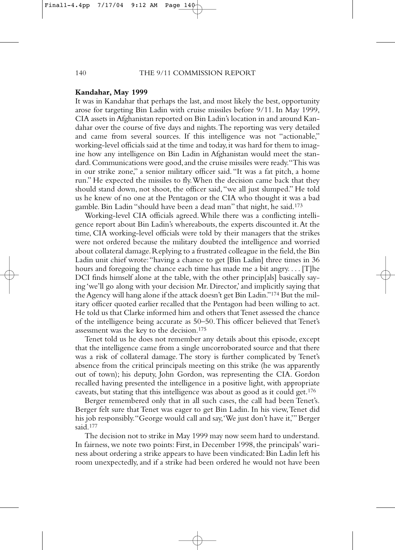#### **Kandahar, May 1999**

It was in Kandahar that perhaps the last, and most likely the best, opportunity arose for targeting Bin Ladin with cruise missiles before 9/11. In May 1999, CIA assets in Afghanistan reported on Bin Ladin's location in and around Kandahar over the course of five days and nights.The reporting was very detailed and came from several sources. If this intelligence was not "actionable," working-level officials said at the time and today, it was hard for them to imagine how any intelligence on Bin Ladin in Afghanistan would meet the standard. Communications were good,and the cruise missiles were ready."This was in our strike zone," a senior military officer said. "It was a fat pitch, a home run." He expected the missiles to fly.When the decision came back that they should stand down, not shoot, the officer said,"we all just slumped." He told us he knew of no one at the Pentagon or the CIA who thought it was a bad gamble. Bin Ladin "should have been a dead man" that night, he said.173

Working-level CIA officials agreed.While there was a conflicting intelligence report about Bin Ladin's whereabouts, the experts discounted it.At the time, CIA working-level officials were told by their managers that the strikes were not ordered because the military doubted the intelligence and worried about collateral damage. Replying to a frustrated colleague in the field, the Bin Ladin unit chief wrote:"having a chance to get [Bin Ladin] three times in 36 hours and foregoing the chance each time has made me a bit angry.... [T]he DCI finds himself alone at the table, with the other princip[als] basically saying 'we'll go along with your decision Mr. Director,' and implicitly saying that the Agency will hang alone if the attack doesn't get Bin Ladin."174 But the military officer quoted earlier recalled that the Pentagon had been willing to act. He told us that Clarke informed him and others that Tenet assessed the chance of the intelligence being accurate as 50–50.This officer believed that Tenet's assessment was the key to the decision.175

Tenet told us he does not remember any details about this episode, except that the intelligence came from a single uncorroborated source and that there was a risk of collateral damage. The story is further complicated by Tenet's absence from the critical principals meeting on this strike (he was apparently out of town); his deputy, John Gordon, was representing the CIA. Gordon recalled having presented the intelligence in a positive light, with appropriate caveats, but stating that this intelligence was about as good as it could get.176

Berger remembered only that in all such cases, the call had been Tenet's. Berger felt sure that Tenet was eager to get Bin Ladin. In his view,Tenet did his job responsibly."George would call and say,'We just don't have it,'" Berger said.<sup>177</sup>

The decision not to strike in May 1999 may now seem hard to understand. In fairness, we note two points: First, in December 1998, the principals' wariness about ordering a strike appears to have been vindicated: Bin Ladin left his room unexpectedly, and if a strike had been ordered he would not have been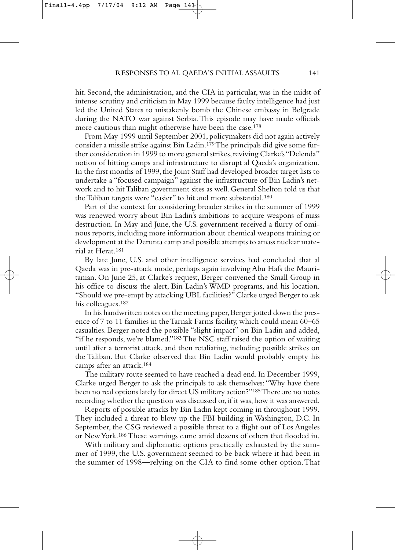hit. Second, the administration, and the CIA in particular, was in the midst of intense scrutiny and criticism in May 1999 because faulty intelligence had just led the United States to mistakenly bomb the Chinese embassy in Belgrade during the NATO war against Serbia.This episode may have made officials more cautious than might otherwise have been the case.178

From May 1999 until September 2001, policymakers did not again actively consider a missile strike against Bin Ladin.<sup>179</sup>The principals did give some further consideration in 1999 to more general strikes, reviving Clarke's "Delenda" notion of hitting camps and infrastructure to disrupt al Qaeda's organization. In the first months of 1999, the Joint Staff had developed broader target lists to undertake a "focused campaign" against the infrastructure of Bin Ladin's network and to hit Taliban government sites as well. General Shelton told us that the Taliban targets were "easier" to hit and more substantial.180

Part of the context for considering broader strikes in the summer of 1999 was renewed worry about Bin Ladin's ambitions to acquire weapons of mass destruction. In May and June, the U.S. government received a flurry of ominous reports, including more information about chemical weapons training or development at the Derunta camp and possible attempts to amass nuclear material at Herat.181

By late June, U.S. and other intelligence services had concluded that al Qaeda was in pre-attack mode, perhaps again involving Abu Hafs the Mauritanian. On June 25, at Clarke's request, Berger convened the Small Group in his office to discuss the alert, Bin Ladin's WMD programs, and his location. "Should we pre-empt by attacking UBL facilities?"Clarke urged Berger to ask his colleagues.182

In his handwritten notes on the meeting paper, Berger jotted down the presence of 7 to 11 families in the Tarnak Farms facility, which could mean 60–65 casualties. Berger noted the possible "slight impact" on Bin Ladin and added, "if he responds, we're blamed."<sup>183</sup> The NSC staff raised the option of waiting until after a terrorist attack, and then retaliating, including possible strikes on the Taliban. But Clarke observed that Bin Ladin would probably empty his camps after an attack.184

The military route seemed to have reached a dead end. In December 1999, Clarke urged Berger to ask the principals to ask themselves:"Why have there been no real options lately for direct US military action?"185There are no notes recording whether the question was discussed or, if it was, how it was answered.

Reports of possible attacks by Bin Ladin kept coming in throughout 1999. They included a threat to blow up the FBI building in Washington, D.C. In September, the CSG reviewed a possible threat to a flight out of Los Angeles or New York.186These warnings came amid dozens of others that flooded in.

With military and diplomatic options practically exhausted by the summer of 1999, the U.S. government seemed to be back where it had been in the summer of 1998—relying on the CIA to find some other option.That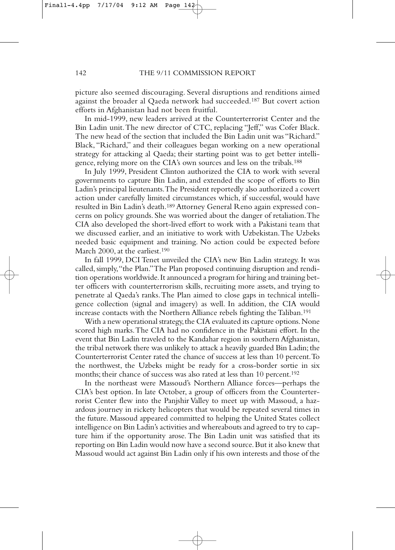picture also seemed discouraging. Several disruptions and renditions aimed against the broader al Qaeda network had succeeded.187 But covert action efforts in Afghanistan had not been fruitful.

In mid-1999, new leaders arrived at the Counterterrorist Center and the Bin Ladin unit.The new director of CTC, replacing "Jeff," was Cofer Black. The new head of the section that included the Bin Ladin unit was "Richard." Black, "Richard," and their colleagues began working on a new operational strategy for attacking al Qaeda; their starting point was to get better intelligence, relying more on the CIA's own sources and less on the tribals.188

In July 1999, President Clinton authorized the CIA to work with several governments to capture Bin Ladin, and extended the scope of efforts to Bin Ladin's principal lieutenants.The President reportedly also authorized a covert action under carefully limited circumstances which, if successful, would have resulted in Bin Ladin's death.189 Attorney General Reno again expressed concerns on policy grounds. She was worried about the danger of retaliation.The CIA also developed the short-lived effort to work with a Pakistani team that we discussed earlier, and an initiative to work with Uzbekistan.The Uzbeks needed basic equipment and training. No action could be expected before March 2000, at the earliest.<sup>190</sup>

In fall 1999, DCI Tenet unveiled the CIA's new Bin Ladin strategy. It was called, simply,"the Plan."The Plan proposed continuing disruption and rendition operations worldwide.It announced a program for hiring and training better officers with counterterrorism skills, recruiting more assets, and trying to penetrate al Qaeda's ranks.The Plan aimed to close gaps in technical intelligence collection (signal and imagery) as well. In addition, the CIA would increase contacts with the Northern Alliance rebels fighting the Taliban.191

With a new operational strategy, the CIA evaluated its capture options. None scored high marks.The CIA had no confidence in the Pakistani effort. In the event that Bin Ladin traveled to the Kandahar region in southern Afghanistan, the tribal network there was unlikely to attack a heavily guarded Bin Ladin; the Counterterrorist Center rated the chance of success at less than 10 percent.To the northwest, the Uzbeks might be ready for a cross-border sortie in six months; their chance of success was also rated at less than 10 percent.<sup>192</sup>

In the northeast were Massoud's Northern Alliance forces—perhaps the CIA's best option. In late October, a group of officers from the Counterterrorist Center flew into the Panjshir Valley to meet up with Massoud, a hazardous journey in rickety helicopters that would be repeated several times in the future. Massoud appeared committed to helping the United States collect intelligence on Bin Ladin's activities and whereabouts and agreed to try to capture him if the opportunity arose. The Bin Ladin unit was satisfied that its reporting on Bin Ladin would now have a second source.But it also knew that Massoud would act against Bin Ladin only if his own interests and those of the